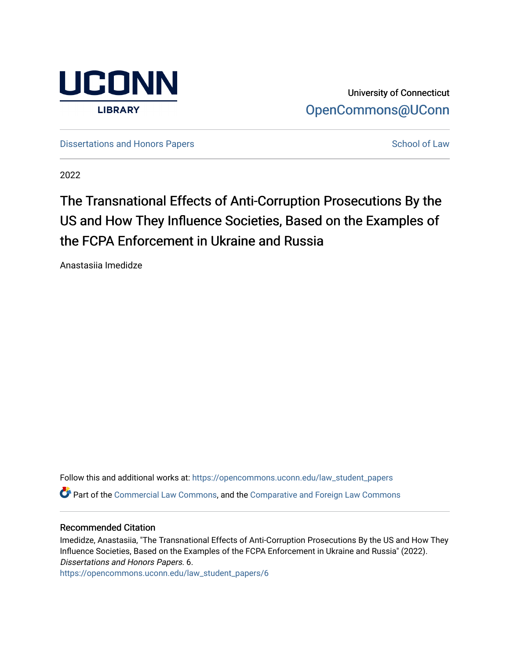

University of Connecticut [OpenCommons@UConn](https://opencommons.uconn.edu/) 

[Dissertations and Honors Papers](https://opencommons.uconn.edu/law_student_papers) **School of Law** School of Law

2022

# The Transnational Effects of Anti-Corruption Prosecutions By the US and How They Influence Societies, Based on the Examples of the FCPA Enforcement in Ukraine and Russia

Anastasiia Imedidze

Follow this and additional works at: [https://opencommons.uconn.edu/law\\_student\\_papers](https://opencommons.uconn.edu/law_student_papers?utm_source=opencommons.uconn.edu%2Flaw_student_papers%2F6&utm_medium=PDF&utm_campaign=PDFCoverPages) 

Part of the [Commercial Law Commons](https://network.bepress.com/hgg/discipline/586?utm_source=opencommons.uconn.edu%2Flaw_student_papers%2F6&utm_medium=PDF&utm_campaign=PDFCoverPages), and the [Comparative and Foreign Law Commons](https://network.bepress.com/hgg/discipline/836?utm_source=opencommons.uconn.edu%2Flaw_student_papers%2F6&utm_medium=PDF&utm_campaign=PDFCoverPages)

#### Recommended Citation

Imedidze, Anastasiia, "The Transnational Effects of Anti-Corruption Prosecutions By the US and How They Influence Societies, Based on the Examples of the FCPA Enforcement in Ukraine and Russia" (2022). Dissertations and Honors Papers. 6.

[https://opencommons.uconn.edu/law\\_student\\_papers/6](https://opencommons.uconn.edu/law_student_papers/6?utm_source=opencommons.uconn.edu%2Flaw_student_papers%2F6&utm_medium=PDF&utm_campaign=PDFCoverPages)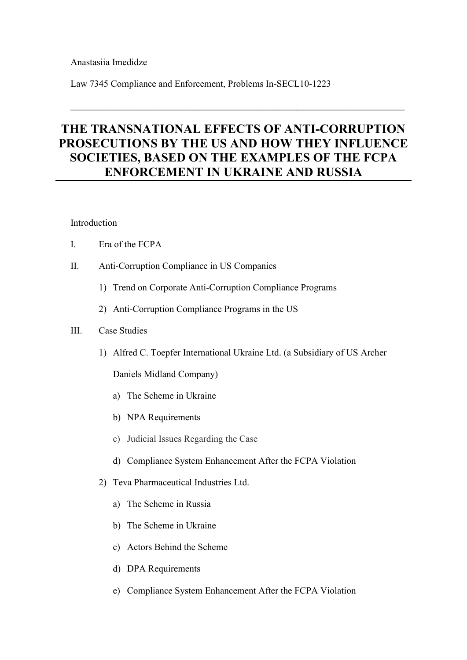# Anastasiia Imedidze

Law 7345 Compliance and Enforcement, Problems [In-SECL10-1223](https://huskyct.uconn.edu/webapps/blackboard/execute/courseMain?course_id=_112162_1)

# **THE TRANSNATIONAL EFFECTS OF ANTI-CORRUPTION PROSECUTIONS BY THE US AND HOW THEY INFLUENCE SOCIETIES, BASED ON THE EXAMPLES OF THE FCPA ENFORCEMENT IN UKRAINE AND RUSSIA**

# Introduction

- I. Era of the FCPA
- II. Anti-Corruption Compliance in US Companies
	- 1) Trend on Corporate Anti-Corruption Compliance Programs
	- 2) Anti-Corruption Compliance Programs in the US

# III. Case Studies

1) Alfred C. Toepfer International Ukraine Ltd. (a Subsidiary of US Archer

Daniels Midland Company)

- a) The Scheme in Ukraine
- b) NPA Requirements
- c) Judicial Issues Regarding the Case
- d) Compliance System Enhancement After the FCPA Violation
- 2) Teva Pharmaceutical Industries Ltd.
	- a) The Scheme in Russia
	- b) The Scheme in Ukraine
	- c) Actors Behind the Scheme
	- d) DPA Requirements
	- e) Compliance System Enhancement After the FCPA Violation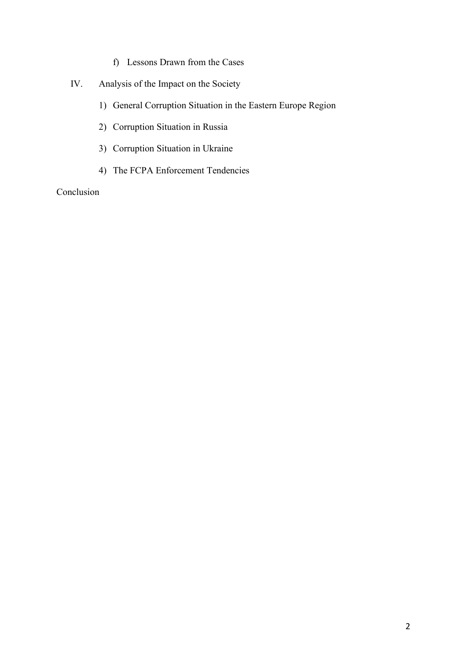- f) Lessons Drawn from the Cases
- IV. Analysis of the Impact on the Society
	- 1) General Corruption Situation in the Eastern Europe Region
	- 2) Corruption Situation in Russia
	- 3) Corruption Situation in Ukraine
	- 4) The FCPA Enforcement Tendencies

### Conclusion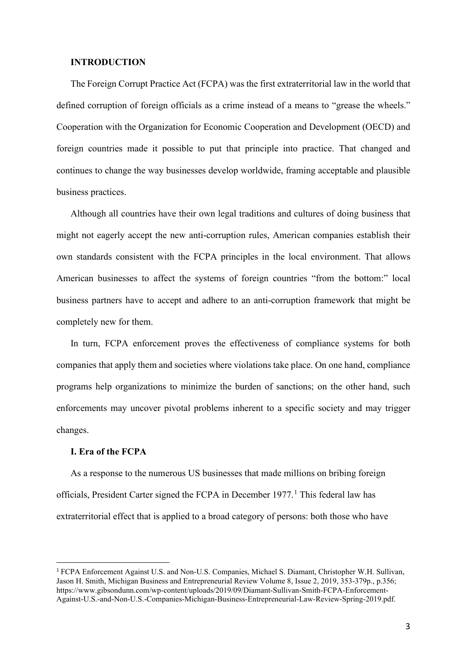#### **INTRODUCTION**

The Foreign Corrupt Practice Act (FCPA) was the first extraterritorial law in the world that defined corruption of foreign officials as a crime instead of a means to "grease the wheels." Cooperation with the Organization for Economic Cooperation and Development (OECD) and foreign countries made it possible to put that principle into practice. That changed and continues to change the way businesses develop worldwide, framing acceptable and plausible business practices.

Although all countries have their own legal traditions and cultures of doing business that might not eagerly accept the new anti-corruption rules, American companies establish their own standards consistent with the FCPA principles in the local environment. That allows American businesses to affect the systems of foreign countries "from the bottom:" local business partners have to accept and adhere to an anti-corruption framework that might be completely new for them.

In turn, FCPA enforcement proves the effectiveness of compliance systems for both companies that apply them and societies where violations take place. On one hand, compliance programs help organizations to minimize the burden of sanctions; on the other hand, such enforcements may uncover pivotal problems inherent to a specific society and may trigger changes.

#### **I. Era of the FCPA**

As a response to the numerous US businesses that made millions on bribing foreign officials, President Carter signed the FCPA in December 1977. [1](#page-3-0) This federal law has extraterritorial effect that is applied to a broad category of persons: both those who have

<span id="page-3-0"></span><sup>1</sup> FCPA Enforcement Against U.S. and Non-U.S. Companies, Michael S. Diamant, Christopher W.H. Sullivan, Jason H. Smith, Michigan Business and Entrepreneurial Review Volume 8, Issue 2, 2019, 353-379p., p.356; https://www.gibsondunn.com/wp-content/uploads/2019/09/Diamant-Sullivan-Smith-FCPA-Enforcement-Against-U.S.-and-Non-U.S.-Companies-Michigan-Business-Entrepreneurial-Law-Review-Spring-2019.pdf.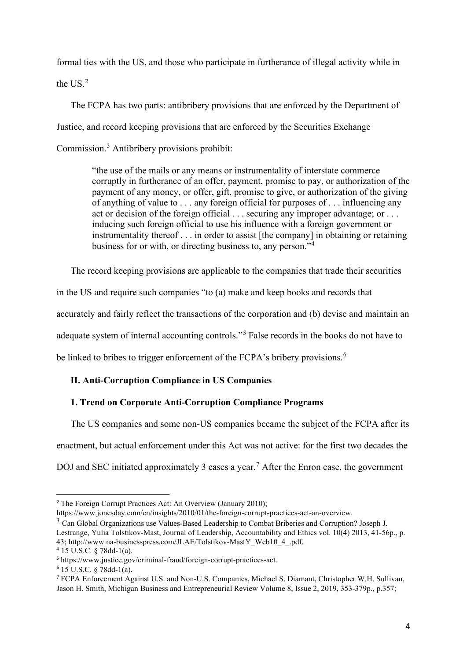formal ties with the US, and those who participate in furtherance of illegal activity while in the US. [2](#page-4-0)

The FCPA has two parts: antibribery provisions that are enforced by the Department of Justice, and record keeping provisions that are enforced by the Securities Exchange Commission. [3](#page-4-1) Antibribery provisions prohibit:

> "the use of the mails or any means or instrumentality of interstate commerce corruptly in furtherance of an offer, payment, promise to pay, or authorization of the payment of any money, or offer, gift, promise to give, or authorization of the giving of anything of value to . . . any foreign official for purposes of . . . influencing any act or decision of the foreign official . . . securing any improper advantage; or . . . inducing such foreign official to use his influence with a foreign government or instrumentality thereof . . . in order to assist [the company] in obtaining or retaining business for or with, or directing business to, any person."[4](#page-4-2)

The record keeping provisions are applicable to the companies that trade their securities

in the US and require such companies "to (a) make and keep books and records that

accurately and fairly reflect the transactions of the corporation and (b) devise and maintain an

adequate system of internal accounting controls."[5](#page-4-3) False records in the books do not have to

be linked to bribes to trigger enforcement of the FCPA's bribery provisions.<sup>[6](#page-4-4)</sup>

# **II. Anti-Corruption Compliance in US Companies**

# **1. Trend on Corporate Anti-Corruption Compliance Programs**

The US companies and some non-US companies became the subject of the FCPA after its enactment, but actual enforcement under this Act was not active: for the first two decades the DOJ and SEC initiated approximately 3 cases a year. [7](#page-4-5) After the Enron case, the government

https://www.jonesday.com/en/insights/2010/01/the-foreign-corrupt-practices-act-an-overview.

<span id="page-4-1"></span><sup>3</sup> Can Global Organizations use Values-Based Leadership to Combat Briberies and Corruption? Joseph J. Lestrange, Yulia Tolstikov-Mast, Journal of Leadership, Accountability and Ethics vol. 10(4) 2013, 41-56p., p.

43; http://www.na-businesspress.com/JLAE/Tolstikov-MastY\_Web10\_4\_.pdf. <sup>4</sup> 15 U.S.C. § 78dd-1(a).

<span id="page-4-0"></span><sup>2</sup> The Foreign Corrupt Practices Act: An Overview (January 2010);

<span id="page-4-3"></span><span id="page-4-2"></span><sup>5</sup> https://www.justice.gov/criminal-fraud/foreign-corrupt-practices-act.

<span id="page-4-4"></span><sup>6</sup> 15 U.S.C. § 78dd-1(a).

<span id="page-4-5"></span><sup>7</sup> FCPA Enforcement Against U.S. and Non-U.S. Companies, Michael S. Diamant, Christopher W.H. Sullivan, Jason H. Smith, Michigan Business and Entrepreneurial Review Volume 8, Issue 2, 2019, 353-379p., p.357;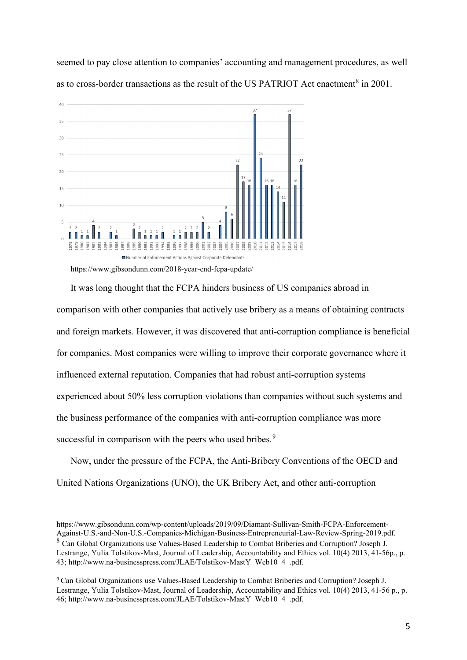seemed to pay close attention to companies' accounting and management procedures, as well as to cross-border transactions as the result of the US PATRIOT Act enactment<sup>[8](#page-5-0)</sup> in 2001.



https://www.gibsondunn.com/2018-year-end-fcpa-update/

It was long thought that the FCPA hinders business of US companies abroad in comparison with other companies that actively use bribery as a means of obtaining contracts and foreign markets. However, it was discovered that anti-corruption compliance is beneficial for companies. Most companies were willing to improve their corporate governance where it influenced external reputation. Companies that had robust anti-corruption systems experienced about 50% less corruption violations than companies without such systems and the business performance of the companies with anti-corruption compliance was more successful in comparison with the peers who used bribes.<sup>[9](#page-5-1)</sup>

Now, under the pressure of the FCPA, the Anti-Bribery Conventions of the OECD and United Nations Organizations (UNO), the UK Bribery Act, and other anti-corruption

https://www.gibsondunn.com/wp-content/uploads/2019/09/Diamant-Sullivan-Smith-FCPA-Enforcement-Against-U.S.-and-Non-U.S.-Companies-Michigan-Business-Entrepreneurial-Law-Review-Spring-2019.pdf.

<span id="page-5-0"></span><sup>8</sup> Can Global Organizations use Values-Based Leadership to Combat Briberies and Corruption? Joseph J. Lestrange, Yulia Tolstikov-Mast, Journal of Leadership, Accountability and Ethics vol. 10(4) 2013, 41-56p., p. 43; http://www.na-businesspress.com/JLAE/Tolstikov-MastY\_Web10\_4\_.pdf.

<span id="page-5-1"></span><sup>9</sup> Can Global Organizations use Values-Based Leadership to Combat Briberies and Corruption? Joseph J. Lestrange, Yulia Tolstikov-Mast, Journal of Leadership, Accountability and Ethics vol. 10(4) 2013, 41-56 p., p. 46; http://www.na-businesspress.com/JLAE/Tolstikov-MastY\_Web10\_4\_.pdf.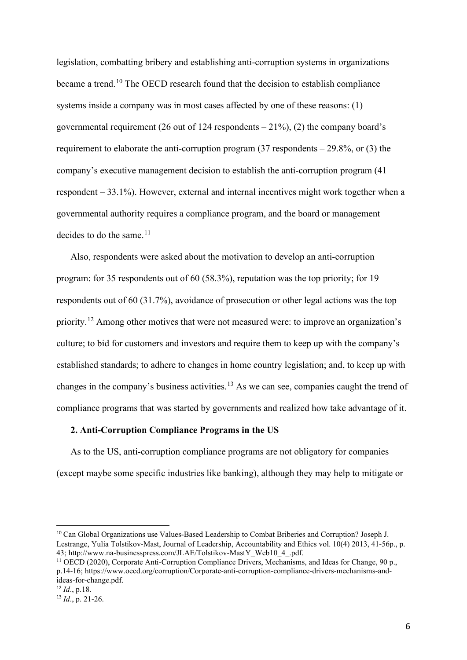legislation, combatting bribery and establishing anti-corruption systems in organizations became a trend.<sup>[10](#page-6-0)</sup> The OECD research found that the decision to establish compliance systems inside a company was in most cases affected by one of these reasons: (1) governmental requirement (26 out of 124 respondents  $-21\%$ ), (2) the company board's requirement to elaborate the anti-corruption program  $(37$  respondents  $-29.8\%$ , or  $(3)$  the company's executive management decision to establish the anti-corruption program (41 respondent – 33.1%). However, external and internal incentives might work together when a governmental authority requires a compliance program, and the board or management decides to do the same.<sup>[11](#page-6-1)</sup>

Also, respondents were asked about the motivation to develop an anti-corruption program: for 35 respondents out of 60 (58.3%), reputation was the top priority; for 19 respondents out of 60 (31.7%), avoidance of prosecution or other legal actions was the top priority.<sup>[12](#page-6-2)</sup> Among other motives that were not measured were: to improve an organization's culture; to bid for customers and investors and require them to keep up with the company's established standards; to adhere to changes in home country legislation; and, to keep up with changes in the company's business activities.<sup>[13](#page-6-3)</sup> As we can see, companies caught the trend of compliance programs that was started by governments and realized how take advantage of it.

### **2. Anti-Corruption Compliance Programs in the US**

As to the US, anti-corruption compliance programs are not obligatory for companies (except maybe some specific industries like banking), although they may help to mitigate or

<span id="page-6-0"></span><sup>10</sup> Can Global Organizations use Values-Based Leadership to Combat Briberies and Corruption? Joseph J. Lestrange, Yulia Tolstikov-Mast, Journal of Leadership, Accountability and Ethics vol. 10(4) 2013, 41-56p., p. 43; http://www.na-businesspress.com/JLAE/Tolstikov-MastY\_Web10\_4\_.pdf.

<span id="page-6-1"></span><sup>&</sup>lt;sup>11</sup> OECD (2020), Corporate Anti-Corruption Compliance Drivers, Mechanisms, and Ideas for Change, 90 p., p.14-16; https://www.oecd.org/corruption/Corporate-anti-corruption-compliance-drivers-mechanisms-andideas-for-change.pdf.

<span id="page-6-2"></span><sup>12</sup> *Id*., p.18.

<span id="page-6-3"></span> $13$  *Id.*, p. 21-26.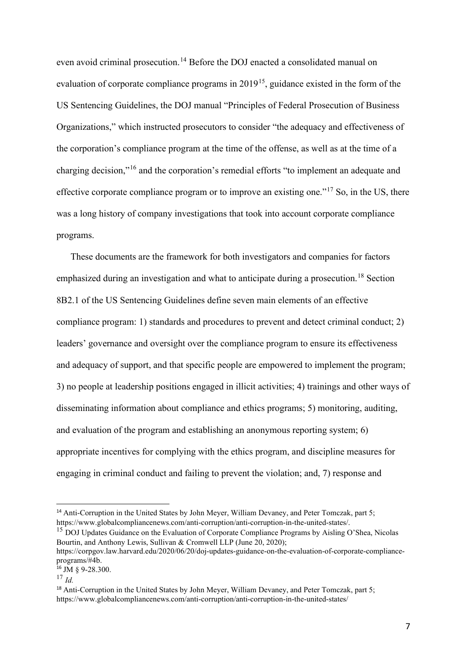even avoid criminal prosecution.<sup>[14](#page-7-0)</sup> Before the DOJ enacted a consolidated manual on evaluation of corporate compliance programs in 2019<sup>15</sup>, guidance existed in the form of the US Sentencing Guidelines, the DOJ manual "Principles of Federal Prosecution of Business Organizations," which instructed prosecutors to consider "the adequacy and effectiveness of the corporation's compliance program at the time of the offense, as well as at the time of a charging decision,"[16](#page-7-2) and the corporation's remedial efforts "to implement an adequate and effective corporate compliance program or to improve an existing one."<sup>[17](#page-7-3)</sup> So, in the US, there was a long history of company investigations that took into account corporate compliance programs.

These documents are the framework for both investigators and companies for factors emphasized during an investigation and what to anticipate during a prosecution.<sup>[18](#page-7-4)</sup> Section 8B2.1 of the US Sentencing Guidelines define seven main elements of an effective compliance program: 1) standards and procedures to prevent and detect criminal conduct; 2) leaders' governance and oversight over the compliance program to ensure its effectiveness and adequacy of support, and that specific people are empowered to implement the program; 3) no people at leadership positions engaged in illicit activities; 4) trainings and other ways of disseminating information about compliance and ethics programs; 5) monitoring, auditing, and evaluation of the program and establishing an anonymous reporting system; 6) appropriate incentives for complying with the ethics program, and discipline measures for engaging in criminal conduct and failing to prevent the violation; and, 7) response and

<span id="page-7-1"></span><sup>15</sup> DOJ Updates Guidance on the Evaluation of Corporate Compliance Programs by Aisling O'Shea, Nicolas Bourtin, and Anthony Lewis, Sullivan & Cromwell LLP (June 20, 2020); https://corpgov.law.harvard.edu/2020/06/20/doj-updates-guidance-on-the-evaluation-of-corporate-compliance-

<span id="page-7-0"></span><sup>14</sup> Anti-Corruption in the United States by John Meyer, William Devaney, and Peter Tomczak, part 5; https://www.globalcompliancenews.com/anti-corruption/anti-corruption-in-the-united-states/.

programs/#4b.

<span id="page-7-2"></span> $16$  JM  $\&$  9-28.300.

<span id="page-7-3"></span><sup>17</sup> *Id.*

<span id="page-7-4"></span><sup>18</sup> Anti-Corruption in the United States by John Meyer, William Devaney, and Peter Tomczak, part 5; https://www.globalcompliancenews.com/anti-corruption/anti-corruption-in-the-united-states/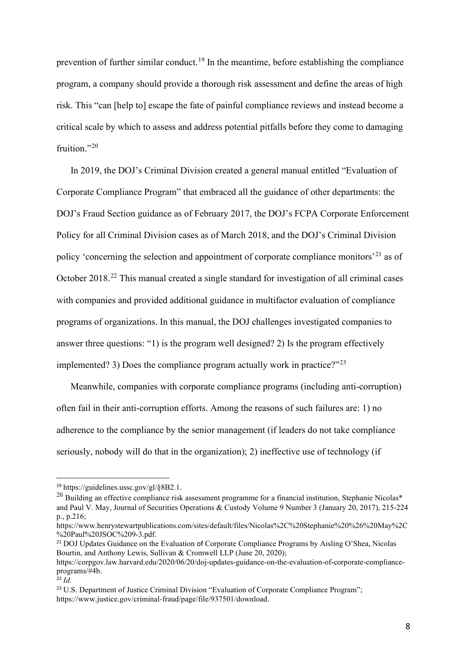prevention of further similar conduct.<sup>[19](#page-8-0)</sup> In the meantime, before establishing the compliance program, a company should provide a thorough risk assessment and define the areas of high risk. This "can [help to] escape the fate of painful compliance reviews and instead become a critical scale by which to assess and address potential pitfalls before they come to damaging fruition."<sup>[20](#page-8-1)</sup>

In 2019, the DOJ's Criminal Division created a general manual entitled "Evaluation of Corporate Compliance Program" that embraced all the guidance of other departments: the DOJ's Fraud Section guidance as of February 2017, the DOJ's FCPA Corporate Enforcement Policy for all Criminal Division cases as of March 2018, and the DOJ's Criminal Division policy 'concerning the selection and appointment of corporate compliance monitors<sup>'[21](#page-8-2)</sup> as of October 2018.<sup>[22](#page-8-3)</sup> This manual created a single standard for investigation of all criminal cases with companies and provided additional guidance in multifactor evaluation of compliance programs of organizations. In this manual, the DOJ challenges investigated companies to answer three questions: "1) is the program well designed? 2) Is the program effectively implemented? 3) Does the compliance program actually work in practice? $123$  $123$ 

Meanwhile, companies with corporate compliance programs (including anti-corruption) often fail in their anti-corruption efforts. Among the reasons of such failures are: 1) no adherence to the compliance by the senior management (if leaders do not take compliance seriously, nobody will do that in the organization); 2) ineffective use of technology (if

<span id="page-8-0"></span><sup>19</sup> https://guidelines.ussc.gov/gl/§8B2.1.

<span id="page-8-1"></span> $^{20}$  Building an effective compliance risk assessment programme for a financial institution, Stephanie Nicolas\* and Paul V. May, Journal of Securities Operations & Custody Volume 9 Number 3 (January 20, 2017), 215-224 p., p.216;

https://www.henrystewartpublications.com/sites/default/files/Nicolas%2C%20Stephanie%20%26%20May%2C %20Paul%20JSOC%209-3.pdf.

<span id="page-8-2"></span><sup>&</sup>lt;sup>21</sup> DOJ Updates Guidance on the Evaluation of Corporate Compliance Programs by Aisling O'Shea, Nicolas Bourtin, and Anthony Lewis, Sullivan & Cromwell LLP (June 20, 2020);

https://corpgov.law.harvard.edu/2020/06/20/doj-updates-guidance-on-the-evaluation-of-corporate-complianceprograms/#4b.

<span id="page-8-3"></span> $\frac{22}{1}$  *Id.* 

<span id="page-8-4"></span><sup>&</sup>lt;sup>23</sup> U.S. Department of Justice Criminal Division "Evaluation of Corporate Compliance Program"; https://www.justice.gov/criminal-fraud/page/file/937501/download.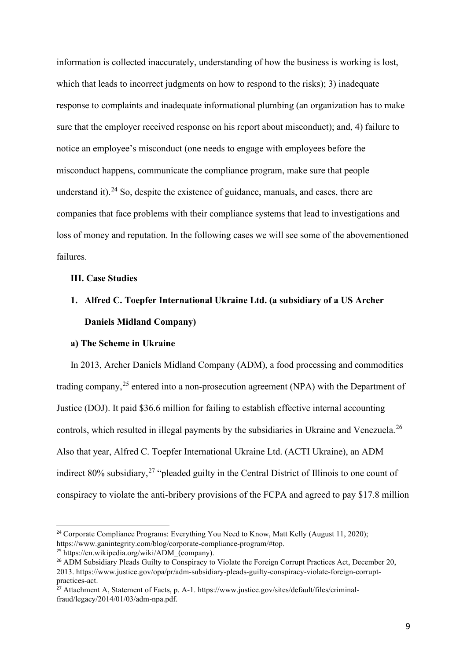information is collected inaccurately, understanding of how the business is working is lost, which that leads to incorrect judgments on how to respond to the risks); 3) inadequate response to complaints and inadequate informational plumbing (an organization has to make sure that the employer received response on his report about misconduct); and, 4) failure to notice an employee's misconduct (one needs to engage with employees before the misconduct happens, communicate the compliance program, make sure that people understand it). $24$  So, despite the existence of guidance, manuals, and cases, there are companies that face problems with their compliance systems that lead to investigations and loss of money and reputation. In the following cases we will see some of the abovementioned failures.

# **III. Case Studies**

# **1. Alfred C. Toepfer International Ukraine Ltd. (a subsidiary of a US Archer Daniels Midland Company)**

#### **a) The Scheme in Ukraine**

In 2013, Archer Daniels Midland Company (ADM), a food processing and commodities trading company,<sup>[25](#page-9-1)</sup> entered into a non-prosecution agreement (NPA) with the Department of Justice (DOJ). It paid \$36.6 million for failing to establish effective internal accounting controls, which resulted in illegal payments by the subsidiaries in Ukraine and Venezuela.<sup>[26](#page-9-2)</sup> Also that year, Alfred C. Toepfer International Ukraine Ltd. (ACTI Ukraine), an ADM indirect 80% subsidiary,<sup>[27](#page-9-3)</sup> "pleaded guilty in the Central District of Illinois to one count of conspiracy to violate the anti-bribery provisions of the FCPA and agreed to pay \$17.8 million

<span id="page-9-0"></span><sup>&</sup>lt;sup>24</sup> Corporate Compliance Programs: Everything You Need to Know, Matt Kelly (August 11, 2020); https://www.ganintegrity.com/blog/corporate-compliance-program/#top.

<span id="page-9-1"></span><sup>25</sup> https://en.wikipedia.org/wiki/ADM\_(company).

<span id="page-9-2"></span><sup>&</sup>lt;sup>26</sup> ADM Subsidiary Pleads Guilty to Conspiracy to Violate the Foreign Corrupt Practices Act, December 20, 2013. https://www.justice.gov/opa/pr/adm-subsidiary-pleads-guilty-conspiracy-violate-foreign-corruptpractices-act.

<span id="page-9-3"></span><sup>&</sup>lt;sup>27</sup> Attachment A, Statement of Facts, p. A-1. https://www.justice.gov/sites/default/files/criminalfraud/legacy/2014/01/03/adm-npa.pdf.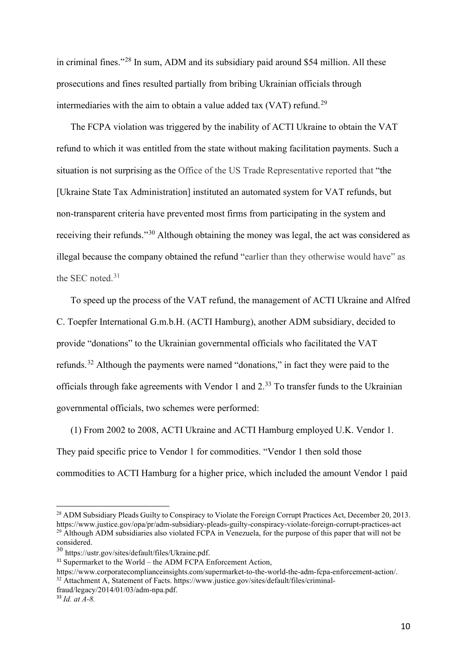in criminal fines."[28](#page-10-0) In sum, ADM and its subsidiary paid around \$54 million. All these prosecutions and fines resulted partially from bribing Ukrainian officials through intermediaries with the aim to obtain a value added tax (VAT) refund.<sup>[29](#page-10-1)</sup>

The FCPA violation was triggered by the inability of ACTI Ukraine to obtain the VAT refund to which it was entitled from the state without making facilitation payments. Such a situation is not surprising as the Office of the US Trade Representative reported that "the [Ukraine State Tax Administration] instituted an automated system for VAT refunds, but non-transparent criteria have prevented most firms from participating in the system and receiving their refunds."[30](#page-10-2) Although obtaining the money was legal, the act was considered as illegal because the company obtained the refund "earlier than they otherwise would have" as the SEC noted. [31](#page-10-3)

To speed up the process of the VAT refund, the management of ACTI Ukraine and Alfred C. Toepfer International G.m.b.H. (ACTI Hamburg), another ADM subsidiary, decided to provide "donations" to the Ukrainian governmental officials who facilitated the VAT refunds.<sup>[32](#page-10-4)</sup> Although the payments were named "donations," in fact they were paid to the officials through fake agreements with Vendor 1 and 2.<sup>[33](#page-10-5)</sup> To transfer funds to the Ukrainian governmental officials, two schemes were performed:

(1) From 2002 to 2008, ACTI Ukraine and ACTI Hamburg employed U.K. Vendor 1. They paid specific price to Vendor 1 for commodities. "Vendor 1 then sold those commodities to ACTI Hamburg for a higher price, which included the amount Vendor 1 paid

<span id="page-10-0"></span><sup>&</sup>lt;sup>28</sup> ADM Subsidiary Pleads Guilty to Conspiracy to Violate the Foreign Corrupt Practices Act, December 20, 2013. https://www.justice.gov/opa/pr/adm-subsidiary-pleads-guilty-conspiracy-violate-foreign-corrupt-practices-act <sup>29</sup> Although ADM subsidiaries also violated FCPA in Venezuela, for the purpose of this paper that will not be considered.

<span id="page-10-2"></span><span id="page-10-1"></span><sup>30</sup> https://ustr.gov/sites/default/files/Ukraine.pdf.

<span id="page-10-3"></span> $31$  Supermarket to the World – the ADM FCPA Enforcement Action,

https://www.corporatecomplianceinsights.com/supermarket-to-the-world-the-adm-fcpa-enforcement-action/. <sup>32</sup> Attachment A, Statement of Facts. https://www.justice.gov/sites/default/files/criminal-

<span id="page-10-4"></span>fraud/legacy/2014/01/03/adm-npa.pdf.

<span id="page-10-5"></span><sup>33</sup> *Id. at A-8.*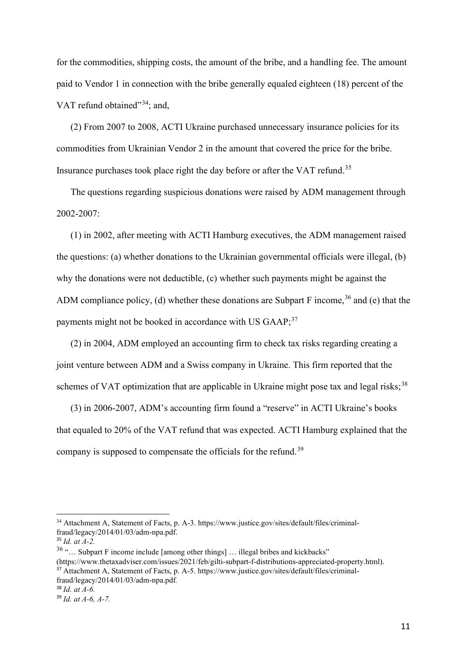for the commodities, shipping costs, the amount of the bribe, and a handling fee. The amount paid to Vendor 1 in connection with the bribe generally equaled eighteen (18) percent of the VAT refund obtained"<sup>[34](#page-11-0)</sup>; and,

(2) From 2007 to 2008, ACTI Ukraine purchased unnecessary insurance policies for its commodities from Ukrainian Vendor 2 in the amount that covered the price for the bribe. Insurance purchases took place right the day before or after the VAT refund.<sup>[35](#page-11-1)</sup>

The questions regarding suspicious donations were raised by ADM management through 2002-2007:

(1) in 2002, after meeting with ACTI Hamburg executives, the ADM management raised the questions: (a) whether donations to the Ukrainian governmental officials were illegal, (b) why the donations were not deductible, (c) whether such payments might be against the ADM compliance policy, (d) whether these donations are Subpart F income,  $36$  and (e) that the payments might not be booked in accordance with US GAAP;<sup>[37](#page-11-3)</sup>

(2) in 2004, ADM employed an accounting firm to check tax risks regarding creating a joint venture between ADM and a Swiss company in Ukraine. This firm reported that the schemes of VAT optimization that are applicable in Ukraine might pose tax and legal risks;<sup>[38](#page-11-4)</sup>

(3) in 2006-2007, ADM's accounting firm found a "reserve" in ACTI Ukraine's books that equaled to 20% of the VAT refund that was expected. ACTI Hamburg explained that the company is supposed to compensate the officials for the refund.<sup>[39](#page-11-5)</sup>

<span id="page-11-0"></span><sup>34</sup> Attachment A, Statement of Facts, p. A-3. https://www.justice.gov/sites/default/files/criminalfraud/legacy/2014/01/03/adm-npa.pdf.

<span id="page-11-1"></span><sup>35</sup> *Id. at A-2.*

<span id="page-11-2"></span> $36$  "... Subpart F income include [among other things] ... illegal bribes and kickbacks"

<span id="page-11-3"></span><sup>(</sup>https://www.thetaxadviser.com/issues/2021/feb/gilti-subpart-f-distributions-appreciated-property.html). <sup>37</sup> Attachment A, Statement of Facts, p. A-5. https://www.justice.gov/sites/default/files/criminalfraud/legacy/2014/01/03/adm-npa.pdf*.*

<span id="page-11-4"></span><sup>38</sup> *Id. at A-6.*

<span id="page-11-5"></span><sup>39</sup> *Id. at A-6, A-7.*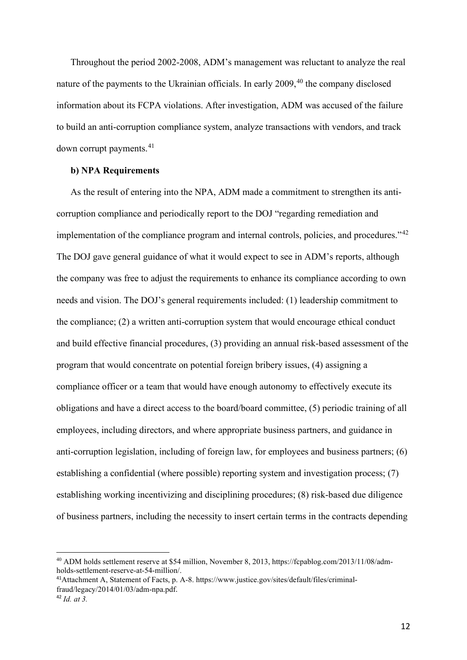Throughout the period 2002-2008, ADM's management was reluctant to analyze the real nature of the payments to the Ukrainian officials. In early 2009, [40](#page-12-0) the company disclosed information about its FCPA violations. After investigation, ADM was accused of the failure to build an anti-corruption compliance system, analyze transactions with vendors, and track down corrupt payments. [41](#page-12-1)

# **b) NPA Requirements**

As the result of entering into the NPA, ADM made a commitment to strengthen its anticorruption compliance and periodically report to the DOJ "regarding remediation and implementation of the compliance program and internal controls, policies, and procedures."<sup>[42](#page-12-2)</sup> The DOJ gave general guidance of what it would expect to see in ADM's reports, although the company was free to adjust the requirements to enhance its compliance according to own needs and vision. The DOJ's general requirements included: (1) leadership commitment to the compliance; (2) a written anti-corruption system that would encourage ethical conduct and build effective financial procedures, (3) providing an annual risk-based assessment of the program that would concentrate on potential foreign bribery issues, (4) assigning a compliance officer or a team that would have enough autonomy to effectively execute its obligations and have a direct access to the board/board committee, (5) periodic training of all employees, including directors, and where appropriate business partners, and guidance in anti-corruption legislation, including of foreign law, for employees and business partners; (6) establishing a confidential (where possible) reporting system and investigation process; (7) establishing working incentivizing and disciplining procedures; (8) risk-based due diligence of business partners, including the necessity to insert certain terms in the contracts depending

<span id="page-12-0"></span><sup>40</sup> ADM holds settlement reserve at \$54 million, November 8, 2013, https://fcpablog.com/2013/11/08/admholds-settlement-reserve-at-54-million/.

<span id="page-12-1"></span><sup>41</sup>Attachment A, Statement of Facts, p. A-8. https://www.justice.gov/sites/default/files/criminalfraud/legacy/2014/01/03/adm-npa.pdf.

<span id="page-12-2"></span><sup>42</sup> *Id. at 3.*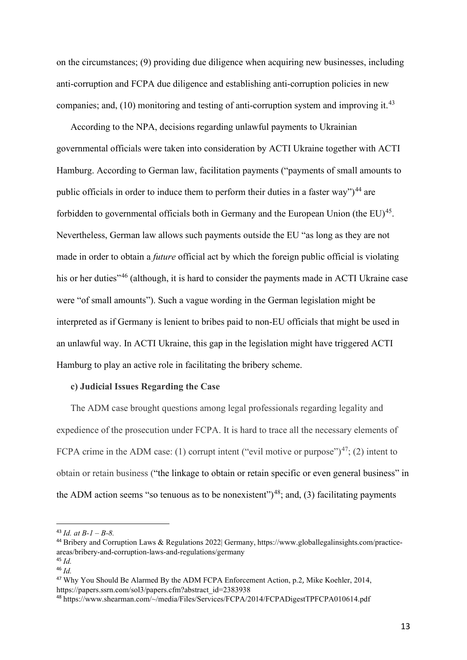on the circumstances; (9) providing due diligence when acquiring new businesses, including anti-corruption and FCPA due diligence and establishing anti-corruption policies in new companies; and,  $(10)$  monitoring and testing of anti-corruption system and improving it.<sup>[43](#page-13-0)</sup>

According to the NPA, decisions regarding unlawful payments to Ukrainian governmental officials were taken into consideration by ACTI Ukraine together with ACTI Hamburg. According to German law, facilitation payments ("payments of small amounts to public officials in order to induce them to perform their duties in a faster way")<sup>[44](#page-13-1)</sup> are forbidden to governmental officials both in Germany and the European Union (the  $EU$ )<sup>45</sup>. Nevertheless, German law allows such payments outside the EU "as long as they are not made in order to obtain a *future* official act by which the foreign public official is violating his or her duties<sup>3[46](#page-13-3)</sup> (although, it is hard to consider the payments made in ACTI Ukraine case were "of small amounts"). Such a vague wording in the German legislation might be interpreted as if Germany is lenient to bribes paid to non-EU officials that might be used in an unlawful way. In ACTI Ukraine, this gap in the legislation might have triggered ACTI Hamburg to play an active role in facilitating the bribery scheme.

#### **c) Judicial Issues Regarding the Case**

The ADM case brought questions among legal professionals regarding legality and expedience of the prosecution under FCPA. It is hard to trace all the necessary elements of FCPA crime in the ADM case: (1) corrupt intent ("evil motive or purpose")<sup>47</sup>; (2) intent to obtain or retain business ("the linkage to obtain or retain specific or even general business" in the ADM action seems "so tenuous as to be nonexistent" $(3)$ <sup>48</sup>; and, (3) facilitating payments

<span id="page-13-0"></span><sup>43</sup> *Id. at B-1 – B-8.*

<span id="page-13-1"></span><sup>44</sup> Bribery and Corruption Laws & Regulations 2022| Germany, https://www.globallegalinsights.com/practiceareas/bribery-and-corruption-laws-and-regulations/germany <sup>45</sup> *Id.*

<span id="page-13-3"></span><span id="page-13-2"></span><sup>46</sup> *Id.*

<span id="page-13-4"></span><sup>47</sup> Why You Should Be Alarmed By the ADM FCPA Enforcement Action, p.2, Mike Koehler, 2014, https://papers.ssrn.com/sol3/papers.cfm?abstract\_id=2383938

<span id="page-13-5"></span><sup>48</sup> https://www.shearman.com/~/media/Files/Services/FCPA/2014/FCPADigestTPFCPA010614.pdf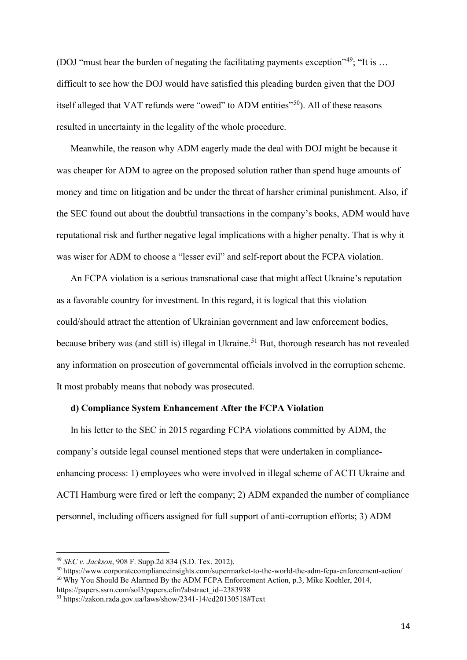(DOJ "must bear the burden of negating the facilitating payments exception"<sup>[49](#page-14-0)</sup>; "It is ... difficult to see how the DOJ would have satisfied this pleading burden given that the DOJ itself alleged that VAT refunds were "owed" to ADM entities"<sup>[50](#page-14-1)</sup>). All of these reasons resulted in uncertainty in the legality of the whole procedure.

Meanwhile, the reason why ADM eagerly made the deal with DOJ might be because it was cheaper for ADM to agree on the proposed solution rather than spend huge amounts of money and time on litigation and be under the threat of harsher criminal punishment. Also, if the SEC found out about the doubtful transactions in the company's books, ADM would have reputational risk and further negative legal implications with a higher penalty. That is why it was wiser for ADM to choose a "lesser evil" and self-report about the FCPA violation.

An FCPA violation is a serious transnational case that might affect Ukraine's reputation as a favorable country for investment. In this regard, it is logical that this violation could/should attract the attention of Ukrainian government and law enforcement bodies, because bribery was (and still is) illegal in Ukraine.<sup>[51](#page-14-2)</sup> But, thorough research has not revealed any information on prosecution of governmental officials involved in the corruption scheme. It most probably means that nobody was prosecuted.

#### **d) Compliance System Enhancement After the FCPA Violation**

In his letter to the SEC in 2015 regarding FCPA violations committed by ADM, the company's outside legal counsel mentioned steps that were undertaken in complianceenhancing process: 1) employees who were involved in illegal scheme of ACTI Ukraine and ACTI Hamburg were fired or left the company; 2) ADM expanded the number of compliance personnel, including officers assigned for full support of anti-corruption efforts; 3) ADM

https://papers.ssrn.com/sol3/papers.cfm?abstract\_id=2383938

<span id="page-14-0"></span><sup>49</sup> *SEC v. Jackson*, 908 F. Supp.2d 834 (S.D. Tex. 2012).

<span id="page-14-1"></span><sup>50</sup> https://www.corporatecomplianceinsights.com/supermarket-to-the-world-the-adm-fcpa-enforcement-action/ <sup>50</sup> Why You Should Be Alarmed By the ADM FCPA Enforcement Action, p.3, Mike Koehler, 2014,

<span id="page-14-2"></span><sup>51</sup> https://zakon.rada.gov.ua/laws/show/2341-14/ed20130518#Text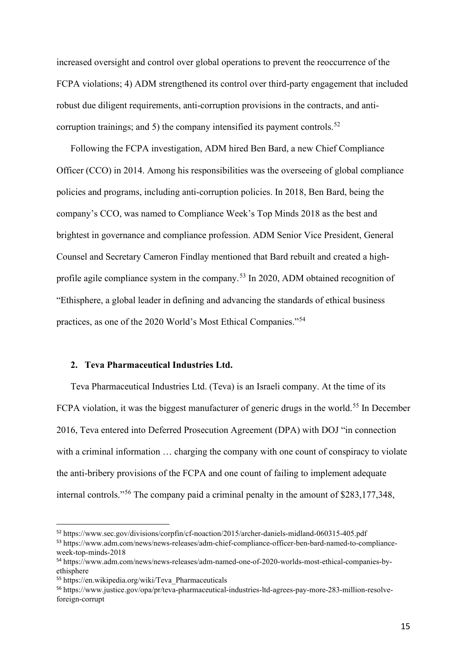increased oversight and control over global operations to prevent the reoccurrence of the FCPA violations; 4) ADM strengthened its control over third-party engagement that included robust due diligent requirements, anti-corruption provisions in the contracts, and anti-corruption trainings; and 5) the company intensified its payment controls.<sup>[52](#page-15-0)</sup>

Following the FCPA investigation, ADM hired Ben Bard, a new Chief Compliance Officer (CCO) in 2014. Among his responsibilities was the overseeing of global compliance policies and programs, including anti-corruption policies. In 2018, Ben Bard, being the company's CCO, was named to Compliance Week's Top Minds 2018 as the best and brightest in governance and compliance profession. ADM Senior Vice President, General Counsel and Secretary Cameron Findlay mentioned that Bard rebuilt and created a high-profile agile compliance system in the company.<sup>[53](#page-15-1)</sup> In 2020, ADM obtained recognition of "Ethisphere, a global leader in defining and advancing the standards of ethical business practices, as one of the 2020 World's Most Ethical Companies."[54](#page-15-2)

# **2. Teva Pharmaceutical Industries Ltd.**

Teva Pharmaceutical Industries Ltd. (Teva) is an Israeli company. At the time of its FCPA violation, it was the biggest manufacturer of generic drugs in the world.<sup>[55](#page-15-3)</sup> In December 2016, Teva entered into Deferred Prosecution Agreement (DPA) with DOJ "in connection with a criminal information ... charging the company with one count of conspiracy to violate the anti-bribery provisions of the FCPA and one count of failing to implement adequate internal controls."[56](#page-15-4) The company paid a criminal penalty in the amount of \$283,177,348,

<span id="page-15-0"></span><sup>52</sup> https://www.sec.gov/divisions/corpfin/cf-noaction/2015/archer-daniels-midland-060315-405.pdf

<span id="page-15-1"></span><sup>53</sup> https://www.adm.com/news/news-releases/adm-chief-compliance-officer-ben-bard-named-to-complianceweek-top-minds-2018

<span id="page-15-2"></span><sup>54</sup> https://www.adm.com/news/news-releases/adm-named-one-of-2020-worlds-most-ethical-companies-byethisphere

<span id="page-15-3"></span><sup>55</sup> https://en.wikipedia.org/wiki/Teva\_Pharmaceuticals

<span id="page-15-4"></span><sup>56</sup> https://www.justice.gov/opa/pr/teva-pharmaceutical-industries-ltd-agrees-pay-more-283-million-resolveforeign-corrupt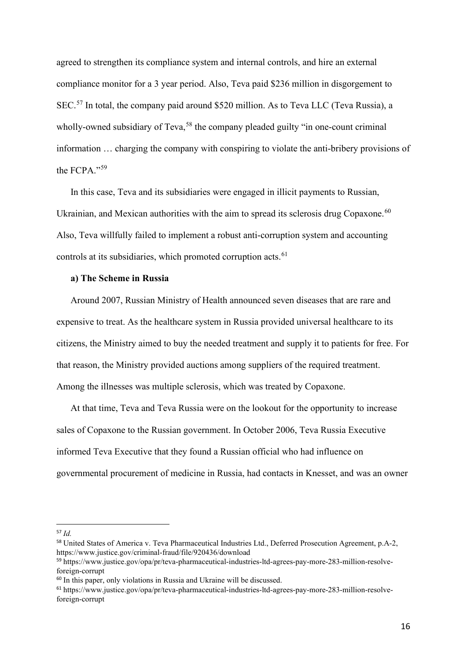agreed to strengthen its compliance system and internal controls, and hire an external compliance monitor for a 3 year period. Also, Teva paid \$236 million in disgorgement to SEC.<sup>[57](#page-16-0)</sup> In total, the company paid around \$520 million. As to Teva LLC (Teva Russia), a wholly-owned subsidiary of Teva,<sup>[58](#page-16-1)</sup> the company pleaded guilty "in one-count criminal information … charging the company with conspiring to violate the anti-bribery provisions of the FCPA."[59](#page-16-2)

In this case, Teva and its subsidiaries were engaged in illicit payments to Russian, Ukrainian, and Mexican authorities with the aim to spread its sclerosis drug Copaxone.<sup>[60](#page-16-3)</sup> Also, Teva willfully failed to implement a robust anti-corruption system and accounting controls at its subsidiaries, which promoted corruption acts.<sup>[61](#page-16-4)</sup>

# **a) The Scheme in Russia**

Around 2007, Russian Ministry of Health announced seven diseases that are rare and expensive to treat. As the healthcare system in Russia provided universal healthcare to its citizens, the Ministry aimed to buy the needed treatment and supply it to patients for free. For that reason, the Ministry provided auctions among suppliers of the required treatment. Among the illnesses was multiple sclerosis, which was treated by Copaxone.

At that time, Teva and Teva Russia were on the lookout for the opportunity to increase sales of Copaxone to the Russian government. In October 2006, Teva Russia Executive informed Teva Executive that they found a Russian official who had influence on governmental procurement of medicine in Russia, had contacts in Knesset, and was an owner

<span id="page-16-0"></span><sup>57</sup> *Id.*

<span id="page-16-1"></span><sup>58</sup> United States of America v. Teva Pharmaceutical Industries Ltd., Deferred Prosecution Agreement, p.A-2, https://www.justice.gov/criminal-fraud/file/920436/download

<span id="page-16-2"></span><sup>59</sup> https://www.justice.gov/opa/pr/teva-pharmaceutical-industries-ltd-agrees-pay-more-283-million-resolveforeign-corrupt

<span id="page-16-3"></span><sup>&</sup>lt;sup>60</sup> In this paper, only violations in Russia and Ukraine will be discussed.

<span id="page-16-4"></span><sup>61</sup> https://www.justice.gov/opa/pr/teva-pharmaceutical-industries-ltd-agrees-pay-more-283-million-resolveforeign-corrupt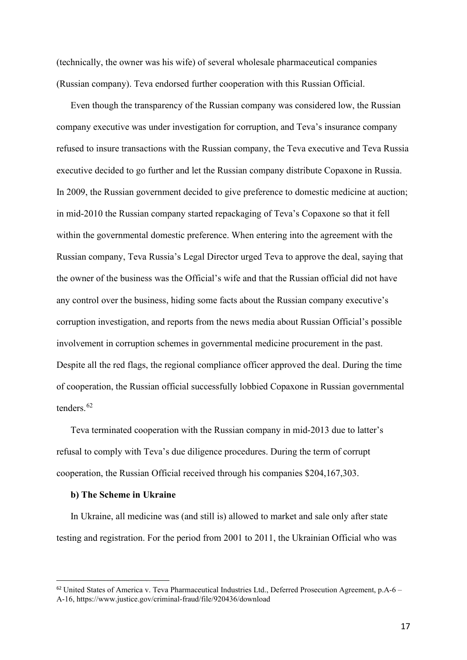(technically, the owner was his wife) of several wholesale pharmaceutical companies (Russian company). Teva endorsed further cooperation with this Russian Official.

Even though the transparency of the Russian company was considered low, the Russian company executive was under investigation for corruption, and Teva's insurance company refused to insure transactions with the Russian company, the Teva executive and Teva Russia executive decided to go further and let the Russian company distribute Copaxone in Russia. In 2009, the Russian government decided to give preference to domestic medicine at auction; in mid-2010 the Russian company started repackaging of Teva's Copaxone so that it fell within the governmental domestic preference. When entering into the agreement with the Russian company, Teva Russia's Legal Director urged Teva to approve the deal, saying that the owner of the business was the Official's wife and that the Russian official did not have any control over the business, hiding some facts about the Russian company executive's corruption investigation, and reports from the news media about Russian Official's possible involvement in corruption schemes in governmental medicine procurement in the past. Despite all the red flags, the regional compliance officer approved the deal. During the time of cooperation, the Russian official successfully lobbied Copaxone in Russian governmental tenders. [62](#page-17-0)

Teva terminated cooperation with the Russian company in mid-2013 due to latter's refusal to comply with Teva's due diligence procedures. During the term of corrupt cooperation, the Russian Official received through his companies \$204,167,303.

#### **b) The Scheme in Ukraine**

In Ukraine, all medicine was (and still is) allowed to market and sale only after state testing and registration. For the period from 2001 to 2011, the Ukrainian Official who was

<span id="page-17-0"></span><sup>62</sup> United States of America v. Teva Pharmaceutical Industries Ltd., Deferred Prosecution Agreement, p.A-6 – A-16, https://www.justice.gov/criminal-fraud/file/920436/download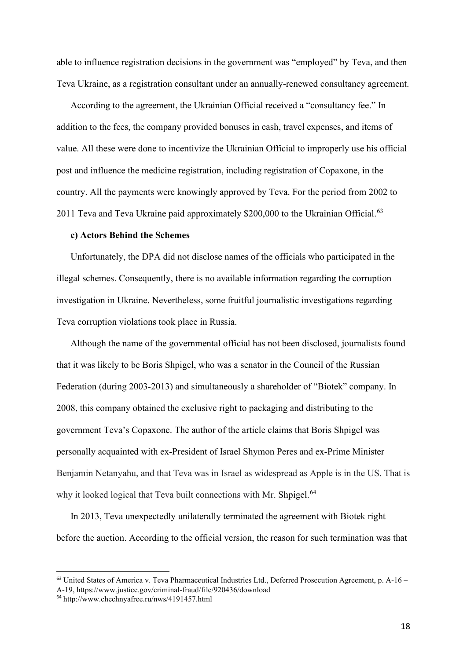able to influence registration decisions in the government was "employed" by Teva, and then Teva Ukraine, as a registration consultant under an annually-renewed consultancy agreement.

According to the agreement, the Ukrainian Official received a "consultancy fee." In addition to the fees, the company provided bonuses in cash, travel expenses, and items of value. All these were done to incentivize the Ukrainian Official to improperly use his official post and influence the medicine registration, including registration of Copaxone, in the country. All the payments were knowingly approved by Teva. For the period from 2002 to 2011 Teva and Teva Ukraine paid approximately \$200,000 to the Ukrainian Official.<sup>[63](#page-18-0)</sup>

# **c) Actors Behind the Schemes**

Unfortunately, the DPA did not disclose names of the officials who participated in the illegal schemes. Consequently, there is no available information regarding the corruption investigation in Ukraine. Nevertheless, some fruitful journalistic investigations regarding Teva corruption violations took place in Russia.

Although the name of the governmental official has not been disclosed, journalists found that it was likely to be Boris Shpigel, who was a senator in the Council of the Russian Federation (during 2003-2013) and simultaneously a shareholder of "Biotek" company. In 2008, this company obtained the exclusive right to packaging and distributing to the government Teva's Copaxone. The author of the article claims that Boris Shpigel was personally acquainted with ex-President of Israel Shymon Peres and ex-Prime Minister Benjamin Netanyahu, and that Teva was in Israel as widespread as Apple is in the US. That is why it looked logical that Teva built connections with Mr. Shpigel.<sup>[64](#page-18-1)</sup>

In 2013, Teva unexpectedly unilaterally terminated the agreement with Biotek right before the auction. According to the official version, the reason for such termination was that

<span id="page-18-0"></span><sup>63</sup> United States of America v. Teva Pharmaceutical Industries Ltd., Deferred Prosecution Agreement, p. A-16 – A-19, https://www.justice.gov/criminal-fraud/file/920436/download

<span id="page-18-1"></span><sup>64</sup> http://www.chechnyafree.ru/nws/4191457.html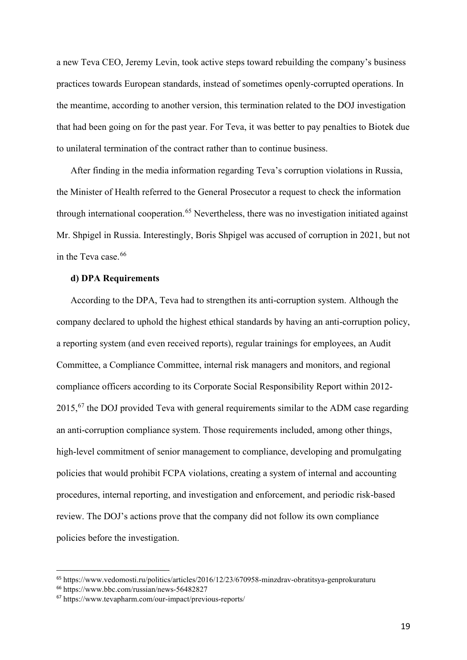a new Teva CEO, Jeremy Levin, took active steps toward rebuilding the company's business practices towards European standards, instead of sometimes openly-corrupted operations. In the meantime, according to another version, this termination related to the DOJ investigation that had been going on for the past year. For Teva, it was better to pay penalties to Biotek due to unilateral termination of the contract rather than to continue business.

After finding in the media information regarding Teva's corruption violations in Russia, the Minister of Health referred to the General Prosecutor a request to check the information through international cooperation.<sup>[65](#page-19-0)</sup> Nevertheless, there was no investigation initiated against Mr. Shpigel in Russia. Interestingly, Boris Shpigel was accused of corruption in 2021, but not in the Teva case. [66](#page-19-1)

# **d) DPA Requirements**

According to the DPA, Teva had to strengthen its anti-corruption system. Although the company declared to uphold the highest ethical standards by having an anti-corruption policy, a reporting system (and even received reports), regular trainings for employees, an Audit Committee, a Compliance Committee, internal risk managers and monitors, and regional compliance officers according to its Corporate Social Responsibility Report within 2012-  $2015$ ,  $67$  the DOJ provided Teva with general requirements similar to the ADM case regarding an anti-corruption compliance system. Those requirements included, among other things, high-level commitment of senior management to compliance, developing and promulgating policies that would prohibit FCPA violations, creating a system of internal and accounting procedures, internal reporting, and investigation and enforcement, and periodic risk-based review. The DOJ's actions prove that the company did not follow its own compliance policies before the investigation.

<span id="page-19-0"></span><sup>65</sup> https://www.vedomosti.ru/politics/articles/2016/12/23/670958-minzdrav-obratitsya-genprokuraturu

<span id="page-19-1"></span><sup>66</sup> https://www.bbc.com/russian/news-56482827

<span id="page-19-2"></span><sup>67</sup> https://www.tevapharm.com/our-impact/previous-reports/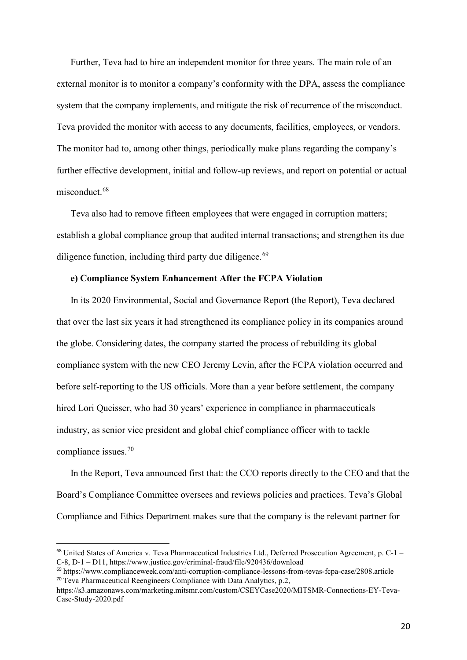Further, Teva had to hire an independent monitor for three years. The main role of an external monitor is to monitor a company's conformity with the DPA, assess the compliance system that the company implements, and mitigate the risk of recurrence of the misconduct. Teva provided the monitor with access to any documents, facilities, employees, or vendors. The monitor had to, among other things, periodically make plans regarding the company's further effective development, initial and follow-up reviews, and report on potential or actual misconduct. [68](#page-20-0)

Teva also had to remove fifteen employees that were engaged in corruption matters; establish a global compliance group that audited internal transactions; and strengthen its due diligence function, including third party due diligence.<sup>[69](#page-20-1)</sup>

# **e) Compliance System Enhancement After the FCPA Violation**

In its 2020 Environmental, Social and Governance Report (the Report), Teva declared that over the last six years it had strengthened its compliance policy in its companies around the globe. Considering dates, the company started the process of rebuilding its global compliance system with the new CEO Jeremy Levin, after the FCPA violation occurred and before self-reporting to the US officials. More than a year before settlement, the company hired Lori Queisser, who had 30 years' experience in compliance in pharmaceuticals industry, as senior vice president and global chief compliance officer with to tackle compliance issues. [70](#page-20-2)

In the Report, Teva announced first that: the CCO reports directly to the CEO and that the Board's Compliance Committee oversees and reviews policies and practices. Teva's Global Compliance and Ethics Department makes sure that the company is the relevant partner for

<span id="page-20-0"></span><sup>68</sup> United States of America v. Teva Pharmaceutical Industries Ltd., Deferred Prosecution Agreement, p. C-1 – C-8, D-1 – D11, https://www.justice.gov/criminal-fraud/file/920436/download

<span id="page-20-1"></span><sup>69</sup> https://www.complianceweek.com/anti-corruption-compliance-lessons-from-tevas-fcpa-case/2808.article <sup>70</sup> Teva Pharmaceutical Reengineers Compliance with Data Analytics, p.2,

<span id="page-20-2"></span>https://s3.amazonaws.com/marketing.mitsmr.com/custom/CSEYCase2020/MITSMR-Connections-EY-Teva-Case-Study-2020.pdf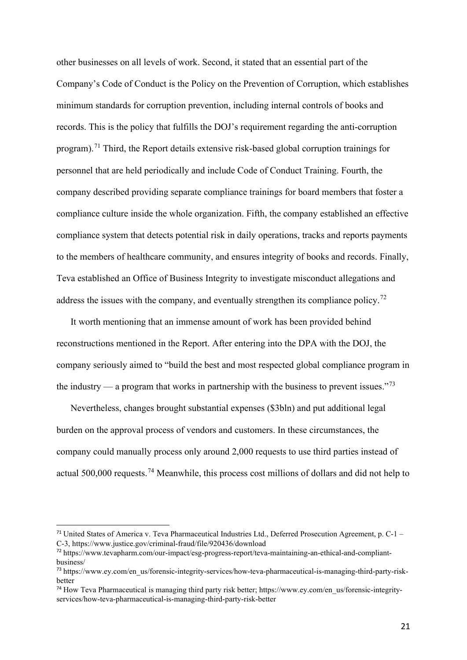other businesses on all levels of work. Second, it stated that an essential part of the Company's Code of Conduct is the Policy on the Prevention of Corruption, which establishes minimum standards for corruption prevention, including internal controls of books and records. This is the policy that fulfills the DOJ's requirement regarding the anti-corruption program).<sup>[71](#page-21-0)</sup> Third, the Report details extensive risk-based global corruption trainings for personnel that are held periodically and include Code of Conduct Training. Fourth, the company described providing separate compliance trainings for board members that foster a compliance culture inside the whole organization. Fifth, the company established an effective compliance system that detects potential risk in daily operations, tracks and reports payments to the members of healthcare community, and ensures integrity of books and records. Finally, Teva established an Office of Business Integrity to investigate misconduct allegations and address the issues with the company, and eventually strengthen its compliance policy.<sup>[72](#page-21-1)</sup>

It worth mentioning that an immense amount of work has been provided behind reconstructions mentioned in the Report. After entering into the DPA with the DOJ, the company seriously aimed to "build the best and most respected global compliance program in the industry — a program that works in partnership with the business to prevent issues."<sup>[73](#page-21-2)</sup>

Nevertheless, changes brought substantial expenses (\$3bln) and put additional legal burden on the approval process of vendors and customers. In these circumstances, the company could manually process only around 2,000 requests to use third parties instead of actual 500,000 requests.[74](#page-21-3) Meanwhile, this process cost millions of dollars and did not help to

<span id="page-21-0"></span> $71$  United States of America v. Teva Pharmaceutical Industries Ltd., Deferred Prosecution Agreement, p. C-1 – C-3, https://www.justice.gov/criminal-fraud/file/920436/download

<span id="page-21-1"></span><sup>72</sup> https://www.tevapharm.com/our-impact/esg-progress-report/teva-maintaining-an-ethical-and-compliantbusiness/

<span id="page-21-2"></span><sup>73</sup> https://www.ey.com/en\_us/forensic-integrity-services/how-teva-pharmaceutical-is-managing-third-party-riskbetter

<span id="page-21-3"></span><sup>74</sup> How Teva Pharmaceutical is managing third party risk better; https://www.ey.com/en\_us/forensic-integrityservices/how-teva-pharmaceutical-is-managing-third-party-risk-better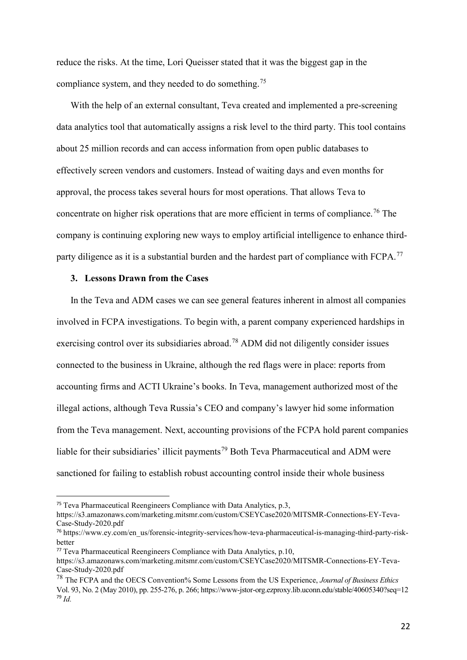reduce the risks. At the time, Lori Queisser stated that it was the biggest gap in the compliance system, and they needed to do something.<sup>[75](#page-22-0)</sup>

With the help of an external consultant, Teva created and implemented a pre-screening data analytics tool that automatically assigns a risk level to the third party. This tool contains about 25 million records and can access information from open public databases to effectively screen vendors and customers. Instead of waiting days and even months for approval, the process takes several hours for most operations. That allows Teva to concentrate on higher risk operations that are more efficient in terms of compliance.<sup>[76](#page-22-1)</sup> The company is continuing exploring new ways to employ artificial intelligence to enhance third-party diligence as it is a substantial burden and the hardest part of compliance with FCPA.<sup>[77](#page-22-2)</sup>

# **3. Lessons Drawn from the Cases**

In the Teva and ADM cases we can see general features inherent in almost all companies involved in FCPA investigations. To begin with, a parent company experienced hardships in exercising control over its subsidiaries abroad.<sup>[78](#page-22-3)</sup> ADM did not diligently consider issues connected to the business in Ukraine, although the red flags were in place: reports from accounting firms and ACTI Ukraine's books. In Teva, management authorized most of the illegal actions, although Teva Russia's CEO and company's lawyer hid some information from the Teva management. Next, accounting provisions of the FCPA hold parent companies liable for their subsidiaries' illicit payments<sup>[79](#page-22-4)</sup> Both Teva Pharmaceutical and ADM were sanctioned for failing to establish robust accounting control inside their whole business

<span id="page-22-0"></span><sup>75</sup> Teva Pharmaceutical Reengineers Compliance with Data Analytics, p.3,

https://s3.amazonaws.com/marketing.mitsmr.com/custom/CSEYCase2020/MITSMR-Connections-EY-Teva-Case-Study-2020.pdf

<span id="page-22-1"></span><sup>76</sup> https://www.ey.com/en\_us/forensic-integrity-services/how-teva-pharmaceutical-is-managing-third-party-riskbetter

<span id="page-22-2"></span><sup>77</sup> Teva Pharmaceutical Reengineers Compliance with Data Analytics, p.10,

https://s3.amazonaws.com/marketing.mitsmr.com/custom/CSEYCase2020/MITSMR-Connections-EY-Teva-Case-Study-2020.pdf

<span id="page-22-4"></span><span id="page-22-3"></span><sup>78</sup> The FCPA and the OECS Convention% Some Lessons from the US Experience, *Journal of Business Ethics* Vol. 93, No. 2 (May 2010), pp. 255-276, p. 266; https://www-jstor-org.ezproxy.lib.uconn.edu/stable/40605340?seq=12 <sup>79</sup> *Id.*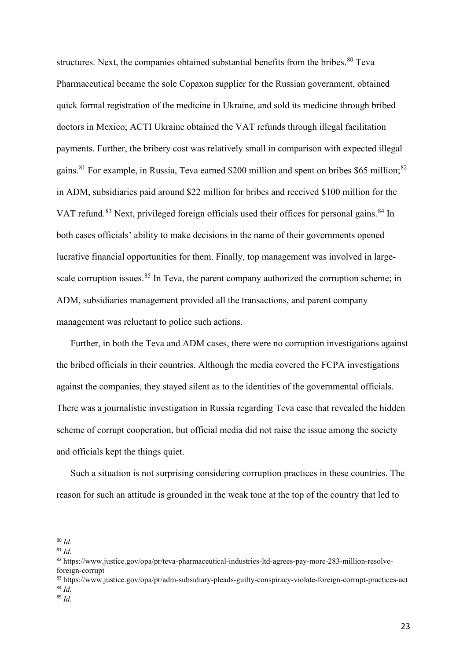structures. Next, the companies obtained substantial benefits from the bribes.<sup>[80](#page-23-0)</sup> Teva Pharmaceutical became the sole Copaxon supplier for the Russian government, obtained quick formal registration of the medicine in Ukraine, and sold its medicine through bribed doctors in Mexico; ACTI Ukraine obtained the VAT refunds through illegal facilitation payments. Further, the bribery cost was relatively small in comparison with expected illegal gains.<sup>[81](#page-23-1)</sup> For example, in Russia, Teva earned \$200 million and spent on bribes \$65 million;<sup>[82](#page-23-2)</sup> in ADM, subsidiaries paid around \$22 million for bribes and received \$100 million for the VAT refund.<sup>[83](#page-23-3)</sup> Next, privileged foreign officials used their offices for personal gains.<sup>[84](#page-23-4)</sup> In both cases officials' ability to make decisions in the name of their governments opened lucrative financial opportunities for them. Finally, top management was involved in large-scale corruption issues.<sup>[85](#page-23-5)</sup> In Teva, the parent company authorized the corruption scheme; in ADM, subsidiaries management provided all the transactions, and parent company management was reluctant to police such actions.

Further, in both the Teva and ADM cases, there were no corruption investigations against the bribed officials in their countries. Although the media covered the FCPA investigations against the companies, they stayed silent as to the identities of the governmental officials. There was a journalistic investigation in Russia regarding Teva case that revealed the hidden scheme of corrupt cooperation, but official media did not raise the issue among the society and officials kept the things quiet.

Such a situation is not surprising considering corruption practices in these countries. The reason for such an attitude is grounded in the weak tone at the top of the country that led to

<span id="page-23-0"></span><sup>80</sup> *Id.*

<span id="page-23-1"></span><sup>81</sup> *Id.*

<span id="page-23-2"></span><sup>82</sup> https://www.justice.gov/opa/pr/teva-pharmaceutical-industries-ltd-agrees-pay-more-283-million-resolveforeign-corrupt

<span id="page-23-3"></span><sup>83</sup> https://www.justice.gov/opa/pr/adm-subsidiary-pleads-guilty-conspiracy-violate-foreign-corrupt-practices-act <sup>84</sup> *Id.*

<span id="page-23-5"></span><span id="page-23-4"></span><sup>85</sup> *Id.*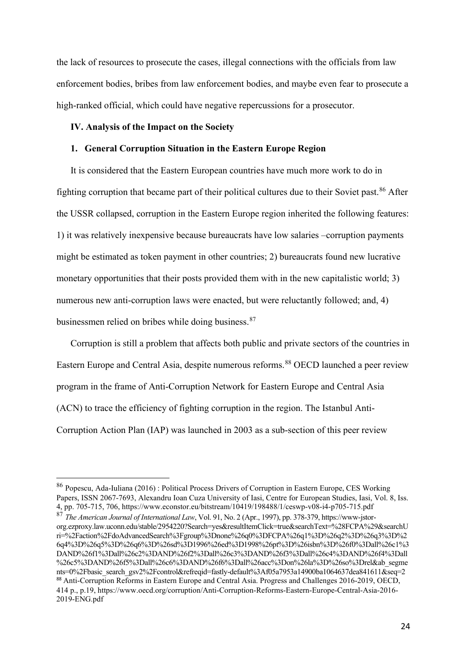the lack of resources to prosecute the cases, illegal connections with the officials from law enforcement bodies, bribes from law enforcement bodies, and maybe even fear to prosecute a high-ranked official, which could have negative repercussions for a prosecutor.

#### **IV. Analysis of the Impact on the Society**

#### **1. General Corruption Situation in the Eastern Europe Region**

It is considered that the Eastern European countries have much more work to do in fighting corruption that became part of their political cultures due to their Soviet past.<sup>[86](#page-24-0)</sup> After the USSR collapsed, corruption in the Eastern Europe region inherited the following features: 1) it was relatively inexpensive because bureaucrats have low salaries –corruption payments might be estimated as token payment in other countries; 2) bureaucrats found new lucrative monetary opportunities that their posts provided them with in the new capitalistic world; 3) numerous new anti-corruption laws were enacted, but were reluctantly followed; and, 4) businessmen relied on bribes while doing business.<sup>[87](#page-24-1)</sup>

Corruption is still a problem that affects both public and private sectors of the countries in Eastern Europe and Central Asia, despite numerous reforms. [88](#page-24-2) OECD launched a peer review program in the frame of Anti-Corruption Network for Eastern Europe and Central Asia (ACN) to trace the efficiency of fighting corruption in the region. The Istanbul Anti-Corruption Action Plan (IAP) was launched in 2003 as a sub-section of this peer review

<span id="page-24-0"></span><sup>86</sup> Popescu, Ada-Iuliana (2016) : Political Process Drivers of Corruption in Eastern Europe, CES Working Papers, ISSN 2067-7693, Alexandru Ioan Cuza University of Iasi, Centre for European Studies, Iasi, Vol. 8, Iss. 4, pp. 705-715, 706, https://www.econstor.eu/bitstream/10419/198488/1/ceswp-v08-i4-p705-715.pdf

<span id="page-24-2"></span><span id="page-24-1"></span><sup>87</sup> *The American Journal of International Law*, Vol. 91, No. 2 (Apr., 1997), pp. 378-379, https://www-jstororg.ezproxy.law.uconn.edu/stable/2954220?Search=yes&resultItemClick=true&searchText=%28FCPA%29&searchU ri=%2Faction%2FdoAdvancedSearch%3Fgroup%3Dnone%26q0%3DFCPA%26q1%3D%26q2%3D%26q3%3D%2 6q4%3D%26q5%3D%26q6%3D%26sd%3D1996%26ed%3D1998%26pt%3D%26isbn%3D%26f0%3Dall%26c1%3 DAND%26f1%3Dall%26c2%3DAND%26f2%3Dall%26c3%3DAND%26f3%3Dall%26c4%3DAND%26f4%3Dall %26c5%3DAND%26f5%3Dall%26c6%3DAND%26f6%3Dall%26acc%3Don%26la%3D%26so%3Drel&ab\_segme nts=0%2Fbasic\_search\_gsv2%2Fcontrol&refreqid=fastly-default%3Af05a7953a14900ba1064637dea841611&seq=2 88 Anti-Corruption Reforms in Eastern Europe and Central Asia. Progress and Challenges 2016-2019, OECD, 414 p., p.19, https://www.oecd.org/corruption/Anti-Corruption-Reforms-Eastern-Europe-Central-Asia-2016- 2019-ENG.pdf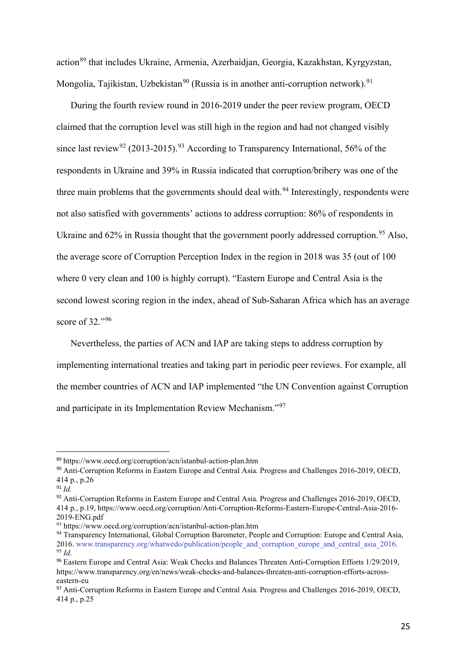action<sup>[89](#page-25-0)</sup> that includes Ukraine, Armenia, Azerbaidjan, Georgia, Kazakhstan, Kyrgyzstan, Mongolia, Tajikistan, Uzbekistan<sup>[90](#page-25-1)</sup> (Russia is in another anti-corruption network).<sup>[91](#page-25-2)</sup>

During the fourth review round in 2016-2019 under the peer review program, OECD claimed that the corruption level was still high in the region and had not changed visibly since last review<sup>[92](#page-25-3)</sup> (2013-2015).<sup>[93](#page-25-4)</sup> According to Transparency International, 56% of the respondents in Ukraine and 39% in Russia indicated that corruption/bribery was one of the three main problems that the governments should deal with.<sup>[94](#page-25-5)</sup> Interestingly, respondents were not also satisfied with governments' actions to address corruption: 86% of respondents in Ukraine and 62% in Russia thought that the government poorly addressed corruption.<sup>[95](#page-25-6)</sup> Also, the average score of Corruption Perception Index in the region in 2018 was 35 (out of 100 where 0 very clean and 100 is highly corrupt). "Eastern Europe and Central Asia is the second lowest scoring region in the index, ahead of Sub-Saharan Africa which has an average score of 32."[96](#page-25-7)

Nevertheless, the parties of ACN and IAP are taking steps to address corruption by implementing international treaties and taking part in periodic peer reviews. For example, all the member countries of ACN and IAP implemented "the UN Convention against Corruption and participate in its Implementation Review Mechanism."[97](#page-25-8)

<span id="page-25-0"></span><sup>89</sup> https://www.oecd.org/corruption/acn/istanbul-action-plan.htm

<span id="page-25-1"></span><sup>90</sup> Anti-Corruption Reforms in Eastern Europe and Central Asia. Progress and Challenges 2016-2019, OECD, 414 p., p.26

<span id="page-25-2"></span> $91$  *Id.* 

<span id="page-25-3"></span><sup>92</sup> Anti-Corruption Reforms in Eastern Europe and Central Asia. Progress and Challenges 2016-2019, OECD, 414 p., p.19, https://www.oecd.org/corruption/Anti-Corruption-Reforms-Eastern-Europe-Central-Asia-2016- 2019-ENG.pdf

<span id="page-25-4"></span><sup>93</sup> https://www.oecd.org/corruption/acn/istanbul-action-plan.htm

<span id="page-25-5"></span><sup>94</sup> Transparency International, Global Corruption Barometer, People and Corruption: Europe and Central Asia, 2016. www.transparency.org/whatwedo/publication/people\_and\_corruption\_europe\_and\_central\_asia\_2016. 95 *Id.*

<span id="page-25-7"></span><span id="page-25-6"></span><sup>96</sup> Eastern Europe and Central Asia: Weak Checks and Balances Threaten Anti-Corruption Efforts 1/29/2019, https://www.transparency.org/en/news/weak-checks-and-balances-threaten-anti-corruption-efforts-acrosseastern-eu

<span id="page-25-8"></span><sup>97</sup> Anti-Corruption Reforms in Eastern Europe and Central Asia. Progress and Challenges 2016-2019, OECD, 414 p., p.25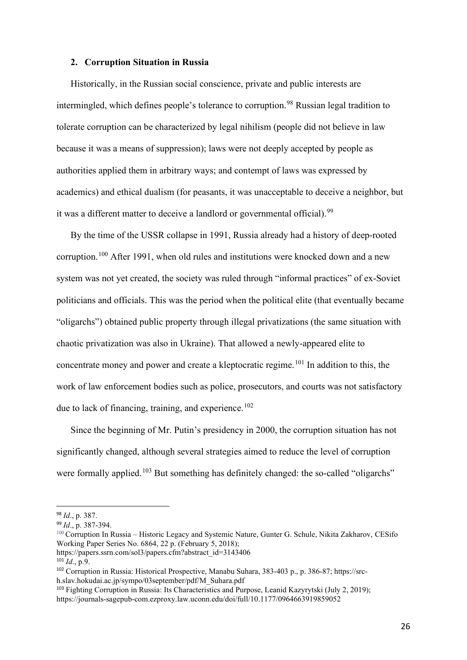#### **2. Corruption Situation in Russia**

Historically, in the Russian social conscience, private and public interests are intermingled, which defines people's tolerance to corruption. [98](#page-26-0) Russian legal tradition to tolerate corruption can be characterized by legal nihilism (people did not believe in law because it was a means of suppression); laws were not deeply accepted by people as authorities applied them in arbitrary ways; and contempt of laws was expressed by academics) and ethical dualism (for peasants, it was unacceptable to deceive a neighbor, but it was a different matter to deceive a landlord or governmental official).<sup>[99](#page-26-1)</sup>

By the time of the USSR collapse in 1991, Russia already had a history of deep-rooted corruption.<sup>[100](#page-26-2)</sup> After 1991, when old rules and institutions were knocked down and a new system was not yet created, the society was ruled through "informal practices" of ex-Soviet politicians and officials. This was the period when the political elite (that eventually became "oligarchs") obtained public property through illegal privatizations (the same situation with chaotic privatization was also in Ukraine). That allowed a newly-appeared elite to concentrate money and power and create a kleptocratic regime.<sup>[101](#page-26-3)</sup> In addition to this, the work of law enforcement bodies such as police, prosecutors, and courts was not satisfactory due to lack of financing, training, and experience.<sup>[102](#page-26-4)</sup>

Since the beginning of Mr. Putin's presidency in 2000, the corruption situation has not significantly changed, although several strategies aimed to reduce the level of corruption were formally applied.<sup>[103](#page-26-5)</sup> But something has definitely changed: the so-called "oligarchs"

<span id="page-26-0"></span><sup>98</sup> *Id*., p. 387.

<span id="page-26-1"></span><sup>99</sup> *Id*., p. 387-394.

<span id="page-26-2"></span><sup>100</sup> Corruption In Russia – Historic Legacy and Systemic Nature, Gunter G. Schule, Nikita Zakharov, [CESifo](https://papers.ssrn.com/sol3/papers.cfm?abstract_id=3143406)  [Working Paper Series No. 6864,](https://papers.ssrn.com/sol3/papers.cfm?abstract_id=3143406) 22 p. (February 5, 2018);

https://papers.ssrn.com/sol3/papers.cfm?abstract\_id=3143406

<span id="page-26-3"></span><sup>101</sup> *Id*., p.9.

<span id="page-26-4"></span><sup>102</sup> Corruption in Russia: Historical Prospective, Manabu Suhara, 383-403 p., p. 386-87; https://srch.slav.hokudai.ac.jp/sympo/03september/pdf/M\_Suhara.pdf

<span id="page-26-5"></span><sup>103</sup> Fighting Corruption in Russia: Its Characteristics and Purpose, Leanid Kazyrytski (July 2, 2019); https://journals-sagepub-com.ezproxy.law.uconn.edu/doi/full/10.1177/0964663919859052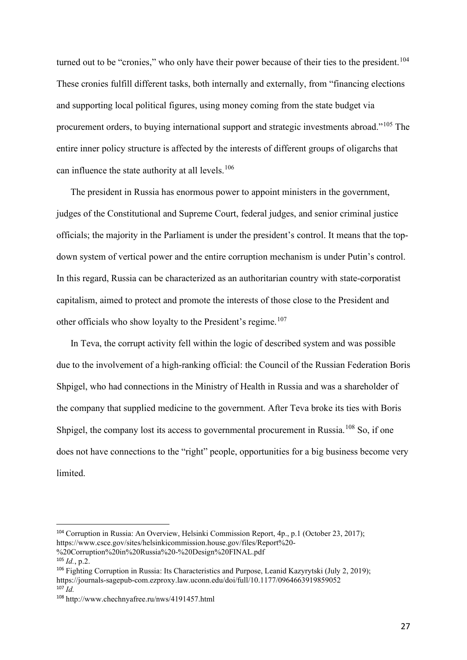turned out to be "cronies," who only have their power because of their ties to the president.<sup>[104](#page-27-0)</sup> These cronies fulfill different tasks, both internally and externally, from "financing elections and supporting local political figures, using money coming from the state budget via procurement orders, to buying international support and strategic investments abroad."[105](#page-27-1) The entire inner policy structure is affected by the interests of different groups of oligarchs that can influence the state authority at all levels.<sup>[106](#page-27-2)</sup>

The president in Russia has enormous power to appoint ministers in the government, judges of the Constitutional and Supreme Court, federal judges, and senior criminal justice officials; the majority in the Parliament is under the president's control. It means that the topdown system of vertical power and the entire corruption mechanism is under Putin's control. In this regard, Russia can be characterized as an authoritarian country with state-corporatist capitalism, aimed to protect and promote the interests of those close to the President and other officials who show loyalty to the President's regime.<sup>[107](#page-27-3)</sup>

In Teva, the corrupt activity fell within the logic of described system and was possible due to the involvement of a high-ranking official: the Council of the Russian Federation Boris Shpigel, who had connections in the Ministry of Health in Russia and was a shareholder of the company that supplied medicine to the government. After Teva broke its ties with Boris Shpigel, the company lost its access to governmental procurement in Russia.<sup>[108](#page-27-4)</sup> So, if one does not have connections to the "right" people, opportunities for a big business become very limited.

<span id="page-27-0"></span><sup>104</sup> Corruption in Russia: An Overview, Helsinki Commission Report, 4p., p.1 (October 23, 2017); https://www.csce.gov/sites/helsinkicommission.house.gov/files/Report%20-

<sup>%20</sup>Corruption%20in%20Russia%20-%20Design%20FINAL.pdf

<span id="page-27-1"></span><sup>105</sup> *Id.*, p.2.

<span id="page-27-2"></span><sup>106</sup> Fighting Corruption in Russia: Its Characteristics and Purpose, Leanid Kazyrytski (July 2, 2019); https://journals-sagepub-com.ezproxy.law.uconn.edu/doi/full/10.1177/0964663919859052  $107$   $\dot{I}$ *d*.

<span id="page-27-3"></span>

<span id="page-27-4"></span><sup>108</sup> http://www.chechnyafree.ru/nws/4191457.html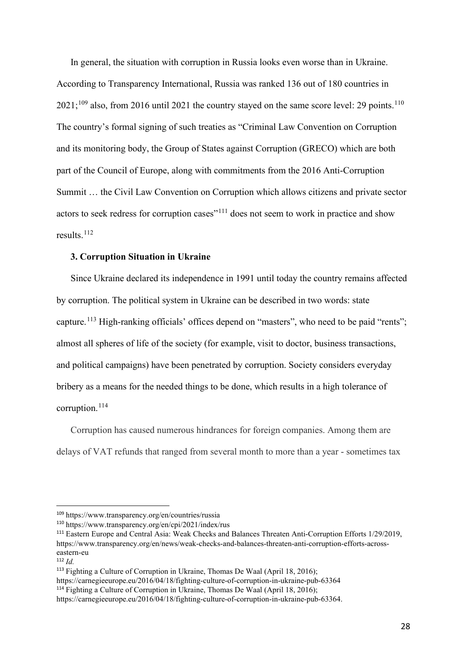In general, the situation with corruption in Russia looks even worse than in Ukraine. According to Transparency International, Russia was ranked 136 out of 180 countries in  $2021;^{109}$  $2021;^{109}$  $2021;^{109}$  also, from 2016 until 2021 the country stayed on the same score level: 29 points.<sup>[110](#page-28-1)</sup> The country's formal signing of such treaties as "Criminal Law Convention on Corruption and its monitoring body, the Group of States against Corruption (GRECO) which are both part of the Council of Europe, along with commitments from the 2016 Anti-Corruption Summit … the Civil Law Convention on Corruption which allows citizens and private sector actors to seek redress for corruption cases"[111](#page-28-2) does not seem to work in practice and show results. [112](#page-28-3)

#### **3. Corruption Situation in Ukraine**

Since Ukraine declared its independence in 1991 until today the country remains affected by corruption. The political system in Ukraine can be described in two words: state capture.<sup>[113](#page-28-4)</sup> High-ranking officials' offices depend on "masters", who need to be paid "rents"; almost all spheres of life of the society (for example, visit to doctor, business transactions, and political campaigns) have been penetrated by corruption. Society considers everyday bribery as a means for the needed things to be done, which results in a high tolerance of corruption. [114](#page-28-5)

Corruption has caused numerous hindrances for foreign companies. Among them are delays of VAT refunds that ranged from several month to more than a year - sometimes tax

https://carnegieeurope.eu/2016/04/18/fighting-culture-of-corruption-in-ukraine-pub-63364

<span id="page-28-0"></span><sup>109</sup> https://www.transparency.org/en/countries/russia

<span id="page-28-1"></span><sup>110</sup> https://www.transparency.org/en/cpi/2021/index/rus

<span id="page-28-2"></span><sup>111</sup> Eastern Europe and Central Asia: Weak Checks and Balances Threaten Anti-Corruption Efforts 1/29/2019, https://www.transparency.org/en/news/weak-checks-and-balances-threaten-anti-corruption-efforts-acrosseastern-eu

<span id="page-28-3"></span><sup>112</sup> *Id.*

<span id="page-28-4"></span><sup>113</sup> Fighting a Culture of Corruption in Ukraine, Thomas De Waal (April 18, 2016);

<span id="page-28-5"></span> $114$  Fighting a Culture of Corruption in Ukraine, Thomas De Waal (April 18, 2016);

https://carnegieeurope.eu/2016/04/18/fighting-culture-of-corruption-in-ukraine-pub-63364.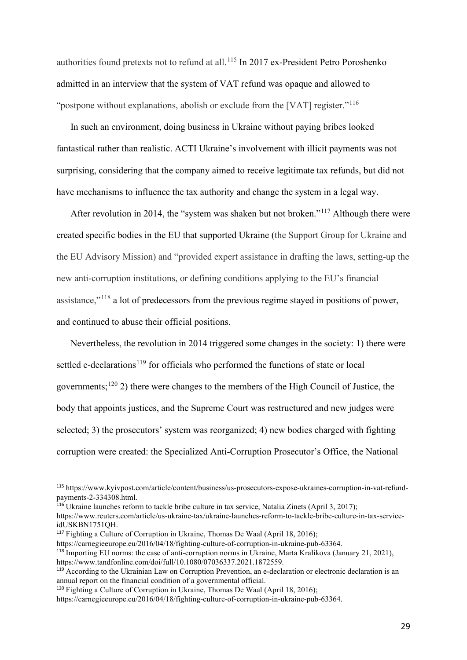authorities found pretexts not to refund at all.<sup>[115](#page-29-0)</sup> In 2017 ex-President Petro Poroshenko admitted in an interview that the system of VAT refund was opaque and allowed to "postpone without explanations, abolish or exclude from the [VAT] register."<sup>[116](#page-29-1)</sup>

In such an environment, doing business in Ukraine without paying bribes looked fantastical rather than realistic. ACTI Ukraine's involvement with illicit payments was not surprising, considering that the company aimed to receive legitimate tax refunds, but did not have mechanisms to influence the tax authority and change the system in a legal way.

After revolution in 2014, the "system was shaken but not broken."[117](#page-29-2) Although there were created specific bodies in the EU that supported Ukraine (the Support Group for Ukraine and the EU Advisory Mission) and "provided expert assistance in drafting the laws, setting-up the new anti-corruption institutions, or defining conditions applying to the EU's financial assistance,"[118](#page-29-3) a lot of predecessors from the previous regime stayed in positions of power, and continued to abuse their official positions.

Nevertheless, the revolution in 2014 triggered some changes in the society: 1) there were settled e-declarations<sup>[119](#page-29-4)</sup> for officials who performed the functions of state or local governments;<sup>[120](#page-29-5)</sup> 2) there were changes to the members of the High Council of Justice, the body that appoints justices, and the Supreme Court was restructured and new judges were selected; 3) the prosecutors' system was reorganized; 4) new bodies charged with fighting corruption were created: the Specialized Anti-Corruption Prosecutor's Office, the National

<span id="page-29-0"></span><sup>115</sup> https://www.kyivpost.com/article/content/business/us-prosecutors-expose-ukraines-corruption-in-vat-refundpayments-2-334308.html.

<span id="page-29-1"></span><sup>&</sup>lt;sup>116</sup> Ukraine launches reform to tackle bribe culture in tax service, Natalia Zinets (April 3, 2017); https://www.reuters.com/article/us-ukraine-tax/ukraine-launches-reform-to-tackle-bribe-culture-in-tax-serviceidUSKBN1751QH.

<span id="page-29-2"></span><sup>&</sup>lt;sup>117</sup> Fighting a Culture of Corruption in Ukraine, Thomas De Waal (April 18, 2016);

https://carnegieeurope.eu/2016/04/18/fighting-culture-of-corruption-in-ukraine-pub-63364.

<span id="page-29-3"></span><sup>118</sup> Importing EU norms: the case of anti-corruption norms in Ukraine, Marta Kralikova (January 21, 2021), https://www.tandfonline.com/doi/full/10.1080/07036337.2021.1872559.

<span id="page-29-4"></span><sup>&</sup>lt;sup>119</sup> According to the Ukrainian Law on Corruption Prevention, an e-declaration or electronic declaration is an annual report on the financial condition of a governmental official.

<span id="page-29-5"></span><sup>&</sup>lt;sup>120</sup> Fighting a Culture of Corruption in Ukraine, Thomas De Waal (April 18, 2016);

https://carnegieeurope.eu/2016/04/18/fighting-culture-of-corruption-in-ukraine-pub-63364.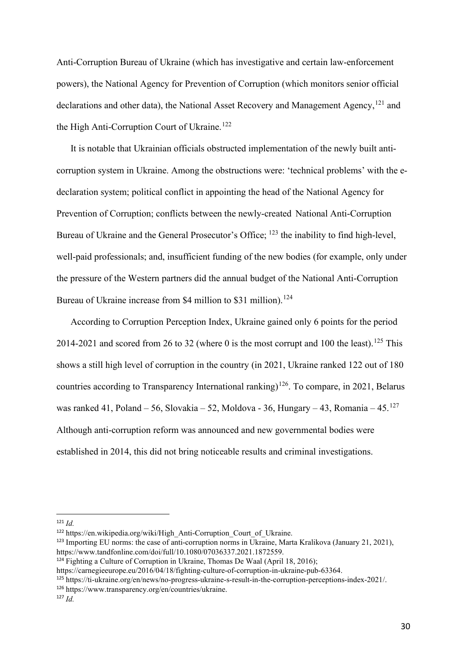Anti-Corruption Bureau of Ukraine (which has investigative and certain law-enforcement powers), the National Agency for Prevention of Corruption (which monitors senior official declarations and other data), the National Asset Recovery and Management Agency,<sup>[121](#page-30-0)</sup> and the High Anti-Corruption Court of Ukraine.<sup>[122](#page-30-1)</sup>

It is notable that Ukrainian officials obstructed implementation of the newly built anticorruption system in Ukraine. Among the obstructions were: 'technical problems' with the edeclaration system; political conflict in appointing the head of the National Agency for Prevention of Corruption; conflicts between the newly-created National Anti-Corruption Bureau of Ukraine and the General Prosecutor's Office; <sup>[123](#page-30-2)</sup> the inability to find high-level, well-paid professionals; and, insufficient funding of the new bodies (for example, only under the pressure of the Western partners did the annual budget of the National Anti-Corruption Bureau of Ukraine increase from \$4 million to \$31 million).<sup>[124](#page-30-3)</sup>

According to Corruption Perception Index, Ukraine gained only 6 points for the period 2014-2021 and scored from 26 to 32 (where 0 is the most corrupt and 100 the least).<sup>[125](#page-30-4)</sup> This shows a still high level of corruption in the country (in 2021, Ukraine ranked 122 out of 180 countries according to Transparency International ranking)<sup>126</sup>. To compare, in 2021, Belarus was ranked 41, Poland – 56, Slovakia – 52, Moldova - 36, Hungary – 43, Romania – 45. $^{127}$  $^{127}$  $^{127}$ Although anti-corruption reform was announced and new governmental bodies were established in 2014, this did not bring noticeable results and criminal investigations.

<span id="page-30-4"></span><sup>125</sup> https://ti-ukraine.org/en/news/no-progress-ukraine-s-result-in-the-corruption-perceptions-index-2021/.

<span id="page-30-0"></span><sup>121</sup> *Id.*

<span id="page-30-1"></span><sup>122</sup> https://en.wikipedia.org/wiki/High\_Anti-Corruption\_Court\_of\_Ukraine.

<span id="page-30-2"></span><sup>123</sup> Importing EU norms: the case of anti-corruption norms in Ukraine, Marta Kralikova (January 21, 2021), https://www.tandfonline.com/doi/full/10.1080/07036337.2021.1872559.

<span id="page-30-3"></span> $124$  Fighting a Culture of Corruption in Ukraine, Thomas De Waal (April 18, 2016);

https://carnegieeurope.eu/2016/04/18/fighting-culture-of-corruption-in-ukraine-pub-63364.

<span id="page-30-5"></span><sup>126</sup> https://www.transparency.org/en/countries/ukraine.

<span id="page-30-6"></span><sup>127</sup> *Id.*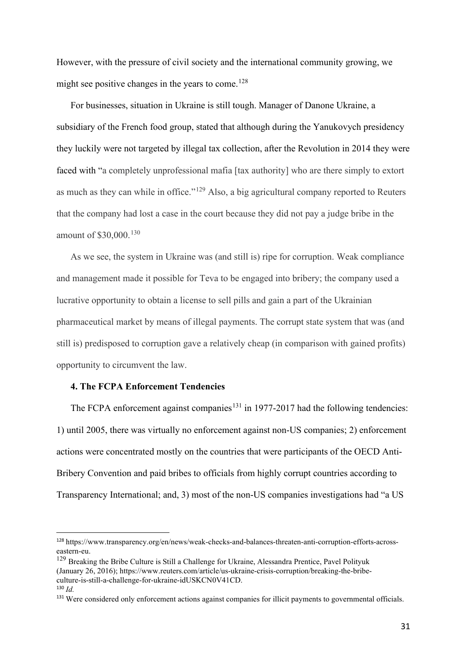However, with the pressure of civil society and the international community growing, we might see positive changes in the years to come.<sup>[128](#page-31-0)</sup>

For businesses, situation in Ukraine is still tough. Manager of Danone Ukraine, a subsidiary of the French food group, stated that although during the Yanukovych presidency they luckily were not targeted by illegal tax collection, after the Revolution in 2014 they were faced with "a completely unprofessional mafia [tax authority] who are there simply to extort as much as they can while in office."<sup>[129](#page-31-1)</sup> Also, a big agricultural company reported to Reuters that the company had lost a case in the court because they did not pay a judge bribe in the amount of \$30,000. [130](#page-31-2)

As we see, the system in Ukraine was (and still is) ripe for corruption. Weak compliance and management made it possible for Teva to be engaged into bribery; the company used a lucrative opportunity to obtain a license to sell pills and gain a part of the Ukrainian pharmaceutical market by means of illegal payments. The corrupt state system that was (and still is) predisposed to corruption gave a relatively cheap (in comparison with gained profits) opportunity to circumvent the law.

#### **4. The FCPA Enforcement Tendencies**

The FCPA enforcement against companies<sup>[131](#page-31-3)</sup> in 1977-2017 had the following tendencies: 1) until 2005, there was virtually no enforcement against non-US companies; 2) enforcement actions were concentrated mostly on the countries that were participants of the OECD Anti-Bribery Convention and paid bribes to officials from highly corrupt countries according to Transparency International; and, 3) most of the non-US companies investigations had "a US

<span id="page-31-0"></span><sup>128</sup> https://www.transparency.org/en/news/weak-checks-and-balances-threaten-anti-corruption-efforts-acrosseastern-eu.

<span id="page-31-1"></span><sup>&</sup>lt;sup>129</sup> Breaking the Bribe Culture is Still a Challenge for Ukraine, [Alessandra](https://www.reuters.com/journalists/alessandra-prentice) Prentice, Pavel [Polityuk](https://www.reuters.com/journalists/pavel-polityuk) (January 26, 2016); https://www.reuters.com/article/us-ukraine-crisis-corruption/breaking-the-bribeculture-is-still-a-challenge-for-ukraine-idUSKCN0V41CD. <sup>130</sup> *Id.*

<span id="page-31-3"></span><span id="page-31-2"></span><sup>&</sup>lt;sup>131</sup> Were considered only enforcement actions against companies for illicit payments to governmental officials.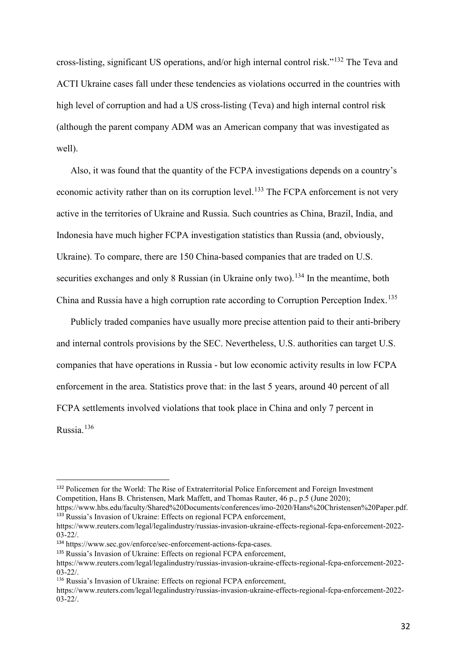cross-listing, significant US operations, and/or high internal control risk."[132](#page-32-0) The Teva and ACTI Ukraine cases fall under these tendencies as violations occurred in the countries with high level of corruption and had a US cross-listing (Teva) and high internal control risk (although the parent company ADM was an American company that was investigated as well).

Also, it was found that the quantity of the FCPA investigations depends on a country's economic activity rather than on its corruption level.<sup>[133](#page-32-1)</sup> The FCPA enforcement is not very active in the territories of Ukraine and Russia. Such countries as China, Brazil, India, and Indonesia have much higher FCPA investigation statistics than Russia (and, obviously, Ukraine). To compare, there are 150 China-based companies that are traded on U.S. securities exchanges and only 8 Russian (in Ukraine only two).<sup>[134](#page-32-2)</sup> In the meantime, both China and Russia have a high corruption rate according to Corruption Perception Index.<sup>[135](#page-32-3)</sup>

Publicly traded companies have usually more precise attention paid to their anti-bribery and internal controls provisions by the SEC. Nevertheless, U.S. authorities can target U.S. companies that have operations in Russia - but low economic activity results in low FCPA enforcement in the area. Statistics prove that: in the last 5 years, around 40 percent of all FCPA settlements involved violations that took place in China and only 7 percent in Russia. [136](#page-32-4)

<span id="page-32-0"></span><sup>&</sup>lt;sup>132</sup> Policemen for the World: The Rise of Extraterritorial Police Enforcement and Foreign Investment Competition, Hans B. Christensen, Mark Maffett, and Thomas Rauter, 46 p., p.5 (June 2020);

<span id="page-32-1"></span>https://www.hbs.edu/faculty/Shared%20Documents/conferences/imo-2020/Hans%20Christensen%20Paper.pdf. <sup>133</sup> Russia's Invasion of Ukraine: Effects on regional FCPA enforcement,

https://www.reuters.com/legal/legalindustry/russias-invasion-ukraine-effects-regional-fcpa-enforcement-2022- 03-22/.

<span id="page-32-2"></span><sup>134</sup> https://www.sec.gov/enforce/sec-enforcement-actions-fcpa-cases.

<span id="page-32-3"></span><sup>&</sup>lt;sup>135</sup> Russia's Invasion of Ukraine: Effects on regional FCPA enforcement,

https://www.reuters.com/legal/legalindustry/russias-invasion-ukraine-effects-regional-fcpa-enforcement-2022-  $03-22/$ 

<span id="page-32-4"></span><sup>136</sup> Russia's Invasion of Ukraine: Effects on regional FCPA enforcement,

https://www.reuters.com/legal/legalindustry/russias-invasion-ukraine-effects-regional-fcpa-enforcement-2022- 03-22/.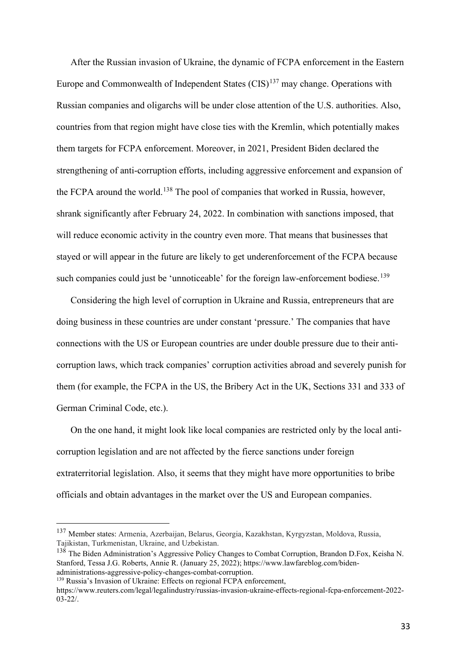After the Russian invasion of Ukraine, the dynamic of FCPA enforcement in the Eastern Europe and Commonwealth of Independent States  $(CIS)^{137}$  $(CIS)^{137}$  $(CIS)^{137}$  may change. Operations with Russian companies and oligarchs will be under close attention of the U.S. authorities. Also, countries from that region might have close ties with the Kremlin, which potentially makes them targets for FCPA enforcement. Moreover, in 2021, President Biden declared the strengthening of anti-corruption efforts, including aggressive enforcement and expansion of the FCPA around the world.<sup>[138](#page-33-1)</sup> The pool of companies that worked in Russia, however, shrank significantly after February 24, 2022. In combination with sanctions imposed, that will reduce economic activity in the country even more. That means that businesses that stayed or will appear in the future are likely to get underenforcement of the FCPA because such companies could just be 'unnoticeable' for the foreign law-enforcement bodiese.<sup>[139](#page-33-2)</sup>

Considering the high level of corruption in Ukraine and Russia, entrepreneurs that are doing business in these countries are under constant 'pressure.' The companies that have connections with the US or European countries are under double pressure due to their anticorruption laws, which track companies' corruption activities abroad and severely punish for them (for example, the FCPA in the US, the Bribery Act in the UK, Sections 331 and 333 of German Criminal Code, etc.).

On the one hand, it might look like local companies are restricted only by the local anticorruption legislation and are not affected by the fierce sanctions under foreign extraterritorial legislation. Also, it seems that they might have more opportunities to bribe officials and obtain advantages in the market over the US and European companies.

<span id="page-33-0"></span><sup>137</sup> Member states: Armenia, Azerbaijan, Belarus, Georgia, Kazakhstan, Kyrgyzstan, Moldova, Russia, Tajikistan, Turkmenistan, Ukraine, and Uzbekistan.

<span id="page-33-1"></span><sup>&</sup>lt;sup>138</sup> The Biden Administration's Aggressive Policy Changes to Combat Corruption, Brandon D.Fox, Keisha N. Stanford, Tessa J.G. Roberts, Annie R. (January 25, 2022); https://www.lawfareblog.com/bidenadministrations-aggressive-policy-changes-combat-corruption.

<span id="page-33-2"></span><sup>&</sup>lt;sup>139</sup> Russia's Invasion of Ukraine: Effects on regional FCPA enforcement,

https://www.reuters.com/legal/legalindustry/russias-invasion-ukraine-effects-regional-fcpa-enforcement-2022- 03-22/.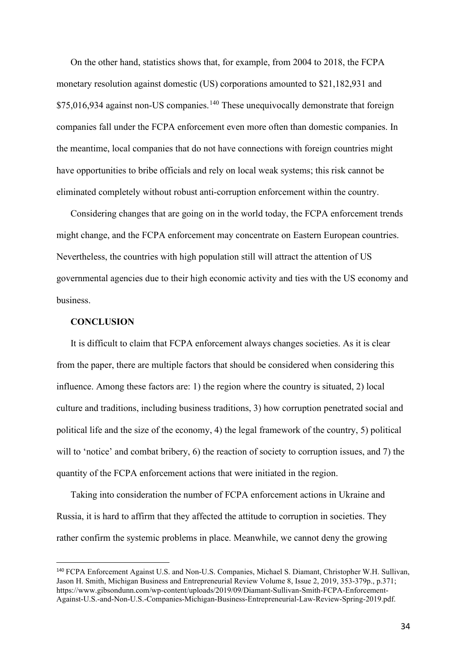On the other hand, statistics shows that, for example, from 2004 to 2018, the FCPA monetary resolution against domestic (US) corporations amounted to \$21,182,931 and  $$75,016,934$  against non-US companies.<sup>[140](#page-34-0)</sup> These unequivocally demonstrate that foreign companies fall under the FCPA enforcement even more often than domestic companies. In the meantime, local companies that do not have connections with foreign countries might have opportunities to bribe officials and rely on local weak systems; this risk cannot be eliminated completely without robust anti-corruption enforcement within the country.

Considering changes that are going on in the world today, the FCPA enforcement trends might change, and the FCPA enforcement may concentrate on Eastern European countries. Nevertheless, the countries with high population still will attract the attention of US governmental agencies due to their high economic activity and ties with the US economy and business.

# **CONCLUSION**

It is difficult to claim that FCPA enforcement always changes societies. As it is clear from the paper, there are multiple factors that should be considered when considering this influence. Among these factors are: 1) the region where the country is situated, 2) local culture and traditions, including business traditions, 3) how corruption penetrated social and political life and the size of the economy, 4) the legal framework of the country, 5) political will to 'notice' and combat bribery, 6) the reaction of society to corruption issues, and 7) the quantity of the FCPA enforcement actions that were initiated in the region.

Taking into consideration the number of FCPA enforcement actions in Ukraine and Russia, it is hard to affirm that they affected the attitude to corruption in societies. They rather confirm the systemic problems in place. Meanwhile, we cannot deny the growing

<span id="page-34-0"></span><sup>140</sup> FCPA Enforcement Against U.S. and Non-U.S. Companies, Michael S. Diamant, Christopher W.H. Sullivan, Jason H. Smith, Michigan Business and Entrepreneurial Review Volume 8, Issue 2, 2019, 353-379p., p.371; https://www.gibsondunn.com/wp-content/uploads/2019/09/Diamant-Sullivan-Smith-FCPA-Enforcement-Against-U.S.-and-Non-U.S.-Companies-Michigan-Business-Entrepreneurial-Law-Review-Spring-2019.pdf.